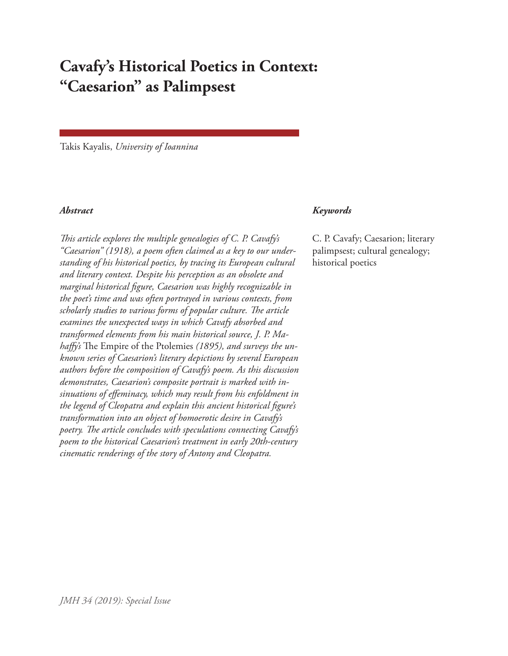# **Cavafy's Historical Poetics in Context: "Caesarion" as Palimpsest**

Takis Kayalis, *University of Ioannina*

*This article explores the multiple genealogies of C. P. Cavafy's "Caesarion" (1918), a poem often claimed as a key to our understanding of his historical poetics, by tracing its European cultural and literary context. Despite his perception as an obsolete and marginal historical figure, Caesarion was highly recognizable in the poet's time and was often portrayed in various contexts, from scholarly studies to various forms of popular culture. The article examines the unexpected ways in which Cavafy absorbed and transformed elements from his main historical source, J. P. Mahaffy's* The Empire of the Ptolemies *(1895), and surveys the unknown series of Caesarion's literary depictions by several European authors before the composition of Cavafy's poem. As this discussion demonstrates, Caesarion's composite portrait is marked with insinuations of effeminacy, which may result from his enfoldment in the legend of Cleopatra and explain this ancient historical figure's transformation into an object of homoerotic desire in Cavafy's poetry. The article concludes with speculations connecting Cavafy's poem to the historical Caesarion's treatment in early 20th-century cinematic renderings of the story of Antony and Cleopatra.*

#### *Abstract Keywords*

C. P. Cavafy; Caesarion; literary palimpsest; cultural genealogy; historical poetics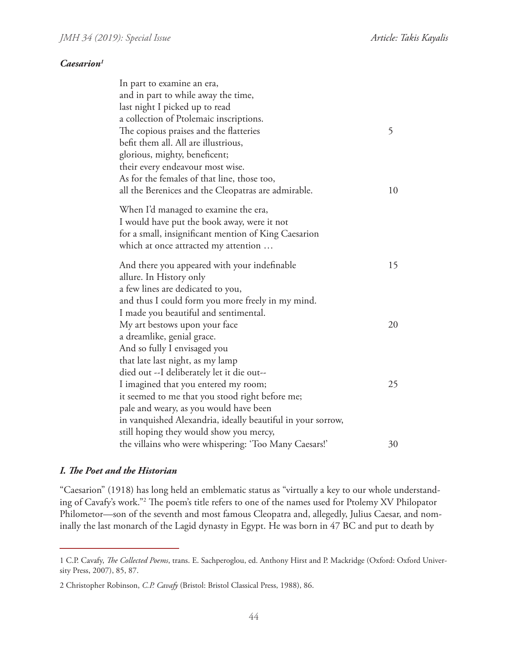#### *Caesarion1*

| In part to examine an era,                                  |    |
|-------------------------------------------------------------|----|
| and in part to while away the time,                         |    |
| last night I picked up to read                              |    |
| a collection of Ptolemaic inscriptions.                     |    |
| The copious praises and the flatteries                      | 5  |
| befit them all. All are illustrious,                        |    |
| glorious, mighty, beneficent;                               |    |
| their every endeavour most wise.                            |    |
| As for the females of that line, those too,                 |    |
| all the Berenices and the Cleopatras are admirable.         | 10 |
| When I'd managed to examine the era,                        |    |
| I would have put the book away, were it not                 |    |
| for a small, insignificant mention of King Caesarion        |    |
| which at once attracted my attention                        |    |
|                                                             |    |
| And there you appeared with your indefinable                | 15 |
| allure. In History only                                     |    |
| a few lines are dedicated to you,                           |    |
| and thus I could form you more freely in my mind.           |    |
| I made you beautiful and sentimental.                       |    |
| My art bestows upon your face                               | 20 |
| a dreamlike, genial grace.                                  |    |
| And so fully I envisaged you                                |    |
| that late last night, as my lamp                            |    |
| died out --I deliberately let it die out--                  |    |
| I imagined that you entered my room;                        | 25 |
| it seemed to me that you stood right before me;             |    |
| pale and weary, as you would have been                      |    |
| in vanquished Alexandria, ideally beautiful in your sorrow, |    |
| still hoping they would show you mercy,                     |    |
| the villains who were whispering: 'Too Many Caesars!'       | 30 |

### *I. The Poet and the Historian*

"Caesarion" (1918) has long held an emblematic status as "virtually a key to our whole understanding of Cavafy's work."2 The poem's title refers to one of the names used for Ptolemy XV Philopator Philometor—son of the seventh and most famous Cleopatra and, allegedly, Julius Caesar, and nominally the last monarch of the Lagid dynasty in Egypt. He was born in 47 BC and put to death by

<sup>1</sup> C.P. Cavafy, *The Collected Poems*, trans. E. Sachperoglou, ed. Anthony Hirst and P. Mackridge (Oxford: Oxford University Press, 2007), 85, 87.

<sup>2</sup> Christopher Robinson, *C.P. Cavafy* (Bristol: Bristol Classical Press, 1988), 86.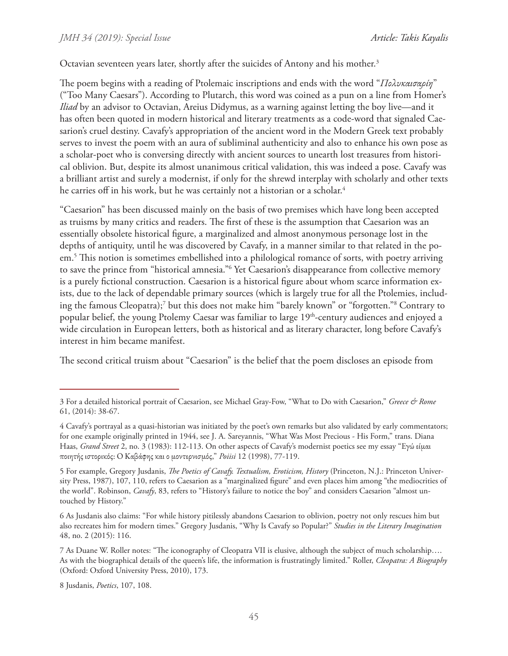Octavian seventeen years later, shortly after the suicides of Antony and his mother.<sup>3</sup>

The poem begins with a reading of Ptolemaic inscriptions and ends with the word "*Πολυκαισαρίη*" ("Too Many Caesars"). According to Plutarch, this word was coined as a pun on a line from Homer's *Iliad* by an advisor to Octavian, Areius Didymus, as a warning against letting the boy live—and it has often been quoted in modern historical and literary treatments as a code-word that signaled Caesarion's cruel destiny. Cavafy's appropriation of the ancient word in the Modern Greek text probably serves to invest the poem with an aura of subliminal authenticity and also to enhance his own pose as a scholar-poet who is conversing directly with ancient sources to unearth lost treasures from historical oblivion. But, despite its almost unanimous critical validation, this was indeed a pose. Cavafy was a brilliant artist and surely a modernist, if only for the shrewd interplay with scholarly and other texts he carries off in his work, but he was certainly not a historian or a scholar.<sup>4</sup>

"Caesarion" has been discussed mainly on the basis of two premises which have long been accepted as truisms by many critics and readers. The first of these is the assumption that Caesarion was an essentially obsolete historical figure, a marginalized and almost anonymous personage lost in the depths of antiquity, until he was discovered by Cavafy, in a manner similar to that related in the poem.5 This notion is sometimes embellished into a philological romance of sorts, with poetry arriving to save the prince from "historical amnesia."<sup>6</sup> Yet Caesarion's disappearance from collective memory is a purely fictional construction. Caesarion is a historical figure about whom scarce information exists, due to the lack of dependable primary sources (which is largely true for all the Ptolemies, including the famous Cleopatra);<sup>7</sup> but this does not make him "barely known" or "forgotten."<sup>8</sup> Contrary to popular belief, the young Ptolemy Caesar was familiar to large 19<sup>th</sup>-century audiences and enjoyed a wide circulation in European letters, both as historical and as literary character, long before Cavafy's interest in him became manifest.

The second critical truism about "Caesarion" is the belief that the poem discloses an episode from

8 Jusdanis, *Poetics*, 107, 108.

<sup>3</sup> For a detailed historical portrait of Caesarion, see Michael Gray-Fow, "What to Do with Caesarion," *Greece & Rome* 61, (2014): 38-67.

<sup>4</sup> Cavafy's portrayal as a quasi-historian was initiated by the poet's own remarks but also validated by early commentators; for one example originally printed in 1944, see J. A. Sareyannis, "What Was Most Precious - His Form," trans. Diana Haas, *Grand Street* 2, no. 3 (1983): 112-113. On other aspects of Cavafy's modernist poetics see my essay "Εγώ είμαι ποιητής ιστορικός: Ο Καβάφης και ο μοντερνισμός," *Poiisi* 12 (1998), 77-119.

<sup>5</sup> For example, Gregory Jusdanis, *The Poetics of Cavafy. Textualism, Eroticism, History* (Princeton, N.J.: Princeton University Press, 1987), 107, 110, refers to Caesarion as a "marginalized figure" and even places him among "the mediocrities of the world". Robinson, *Cavafy*, 83, refers to "History's failure to notice the boy" and considers Caesarion "almost untouched by History."

<sup>6</sup> As Jusdanis also claims: "For while history pitilessly abandons Caesarion to oblivion, poetry not only rescues him but also recreates him for modern times." Gregory Jusdanis, "Why Is Cavafy so Popular?" *Studies in the Literary Imagination* 48, no. 2 (2015): 116.

<sup>7</sup> As Duane W. Roller notes: "The iconography of Cleopatra VII is elusive, although the subject of much scholarship…. As with the biographical details of the queen's life, the information is frustratingly limited." Roller, *Cleopatra: A Biography* (Oxford: Oxford University Press, 2010), 173.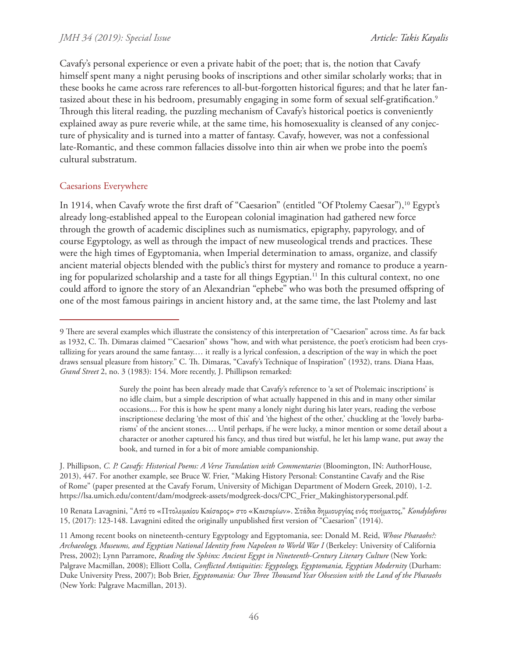Cavafy's personal experience or even a private habit of the poet; that is, the notion that Cavafy himself spent many a night perusing books of inscriptions and other similar scholarly works; that in these books he came across rare references to all-but-forgotten historical figures; and that he later fantasized about these in his bedroom, presumably engaging in some form of sexual self-gratification.<sup>9</sup> Through this literal reading, the puzzling mechanism of Cavafy's historical poetics is conveniently explained away as pure reverie while, at the same time, his homosexuality is cleansed of any conjecture of physicality and is turned into a matter of fantasy. Cavafy, however, was not a confessional late-Romantic, and these common fallacies dissolve into thin air when we probe into the poem's cultural substratum.

### Caesarions Everywhere

In 1914, when Cavafy wrote the first draft of "Caesarion" (entitled "Of Ptolemy Caesar"),<sup>10</sup> Egypt's already long-established appeal to the European colonial imagination had gathered new force through the growth of academic disciplines such as numismatics, epigraphy, papyrology, and of course Egyptology, as well as through the impact of new museological trends and practices. These were the high times of Egyptomania, when Imperial determination to amass, organize, and classify ancient material objects blended with the public's thirst for mystery and romance to produce a yearning for popularized scholarship and a taste for all things Egyptian.<sup>11</sup> In this cultural context, no one could afford to ignore the story of an Alexandrian "ephebe" who was both the presumed offspring of one of the most famous pairings in ancient history and, at the same time, the last Ptolemy and last

Surely the point has been already made that Cavafy's reference to 'a set of Ptolemaic inscriptions' is no idle claim, but a simple description of what actually happened in this and in many other similar occasions.... For this is how he spent many a lonely night during his later years, reading the verbose inscriptionese declaring 'the most of this' and 'the highest of the other,' chuckling at the 'lovely barbarisms' of the ancient stones…. Until perhaps, if he were lucky, a minor mention or some detail about a character or another captured his fancy, and thus tired but wistful, he let his lamp wane, put away the book, and turned in for a bit of more amiable companionship.

J. Phillipson, *C. P. Cavafy: Historical Poems: A Verse Translation with Commentaries* (Bloomington, IN: AuthorHouse, 2013), 447. For another example, see Bruce W. Frier, "Making History Personal: Constantine Cavafy and the Rise of Rome" (paper presented at the Cavafy Forum, University of Michigan Department of Modern Greek, 2010), 1-2. https://lsa.umich.edu/content/dam/modgreek-assets/modgreek-docs/CPC\_Frier\_Makinghistorypersonal.pdf.

10 Renata Lavagnini, "Από το «Πτολεμαίου Καίσαρος» στο «Καισαρίων». Στάδια δημιουργίας ενός ποιήματος," *Kondyloforos* 15, (2017): 123-148. Lavagnini edited the originally unpublished first version of "Caesarion" (1914).

11 Among recent books on nineteenth-century Egyptology and Egyptomania, see: Donald M. Reid, *Whose Pharaohs?: Archaeology, Museums, and Egyptian National Identity from Napoleon to World War I* (Berkeley: University of California Press, 2002); Lynn Parramore, *Reading the Sphinx: Ancient Egypt in Nineteenth-Century Literary Culture* (New York: Palgrave Macmillan, 2008); Elliott Colla, *Conflicted Antiquities: Egyptology, Egyptomania, Egyptian Modernity* (Durham: Duke University Press, 2007); Bob Brier, *Egyptomania: Our Three Thousand Year Obsession with the Land of the Pharaohs* (New York: Palgrave Macmillan, 2013).

<sup>9</sup> There are several examples which illustrate the consistency of this interpretation of "Caesarion" across time. As far back as 1932, C. Th. Dimaras claimed "'Caesarion" shows "how, and with what persistence, the poet's eroticism had been crystallizing for years around the same fantasy.… it really is a lyrical confession, a description of the way in which the poet draws sensual pleasure from history." C. Th. Dimaras, "Cavafy's Technique of Inspiration" (1932), trans. Diana Haas, *Grand Street* 2, no. 3 (1983): 154. More recently, J. Phillipson remarked: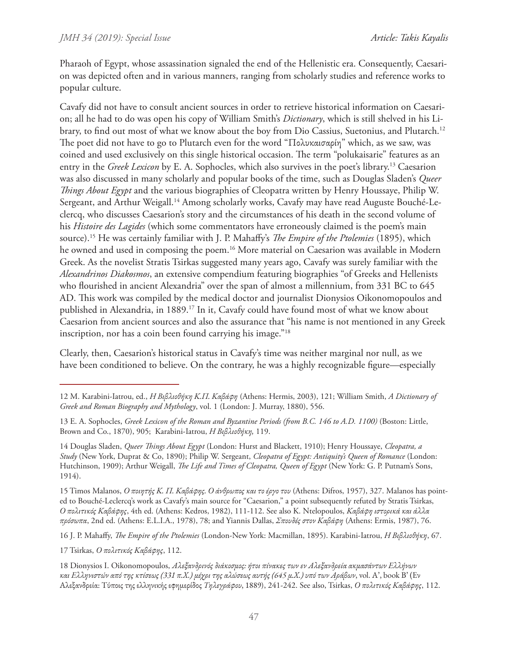Pharaoh of Egypt, whose assassination signaled the end of the Hellenistic era. Consequently, Caesarion was depicted often and in various manners, ranging from scholarly studies and reference works to popular culture.

Cavafy did not have to consult ancient sources in order to retrieve historical information on Caesarion; all he had to do was open his copy of William Smith's *Dictionary*, which is still shelved in his Library, to find out most of what we know about the boy from Dio Cassius, Suetonius, and Plutarch.12 The poet did not have to go to Plutarch even for the word "Πολυκαισαρίη" which, as we saw, was coined and used exclusively on this single historical occasion. The term "polukaisarie" features as an entry in the *Greek Lexicon* by E. A. Sophocles, which also survives in the poet's library.13 Caesarion was also discussed in many scholarly and popular books of the time, such as Douglas Sladen's *Queer Things About Egypt* and the various biographies of Cleopatra written by Henry Houssaye, Philip W. Sergeant, and Arthur Weigall.<sup>14</sup> Among scholarly works, Cavafy may have read Auguste Bouché-Leclercq, who discusses Caesarion's story and the circumstances of his death in the second volume of his *Histoire des Lagides* (which some commentators have erroneously claimed is the poem's main source).15 He was certainly familiar with J. P. Mahaffy's *The Empire of the Ptolemies* (1895), which he owned and used in composing the poem.<sup>16</sup> More material on Caesarion was available in Modern Greek. As the novelist Stratis Tsirkas suggested many years ago, Cavafy was surely familiar with the *Alexandrinos Diakosmos*, an extensive compendium featuring biographies "of Greeks and Hellenists who flourished in ancient Alexandria" over the span of almost a millennium, from 331 BC to 645 AD. This work was compiled by the medical doctor and journalist Dionysios Oikonomopoulos and published in Alexandria, in 1889.<sup>17</sup> In it, Cavafy could have found most of what we know about Caesarion from ancient sources and also the assurance that "his name is not mentioned in any Greek inscription, nor has a coin been found carrying his image."<sup>18</sup>

Clearly, then, Caesarion's historical status in Cavafy's time was neither marginal nor null, as we have been conditioned to believe. On the contrary, he was a highly recognizable figure—especially

16 J. P. Mahaffy, *The Empire of the Ptolemies* (London-New York: Macmillan, 1895). Karabini-Iatrou, *H Bιβλιοθήκη*, 67.

17 Tsirkas, *Ο πολιτικός Καβάφης*, 112.

<sup>12</sup> M. Karabini-Iatrou, ed., *H Bιβλιοθήκη Κ.Π. Καβάφη* (Athens: Hermis, 2003), 121; William Smith, *A Dictionary of Greek and Roman Biography and Mythology*, vol. 1 (London: J. Murray, 1880), 556.

<sup>13</sup> E. A. Sophocles, *Greek Lexicon of the Roman and Byzantine Periods (from B.C. 146 to A.D. 1100)* (Boston: Little, Brown and Co., 1870), 905; Karabini-Iatrou, *H Bιβλιοθήκη,* 119.

<sup>14</sup> Douglas Sladen, *Queer Things About Egypt* (London: Hurst and Blackett, 1910); Henry Houssaye, *Cleopatra, a Study* (New York, Duprat & Co, 1890); Philip W. Sergeant, *Cleopatra of Egypt: Antiquity's Queen of Romance* (London: Hutchinson, 1909); Arthur Weigall, *The Life and Times of Cleopatra, Queen of Egypt* (New York: G. P. Putnam's Sons, 1914).

<sup>15</sup> Timos Malanos, *Ο ποιητής Κ. Π. Καβάφης. Ο άνθρωπος και το έργο του* (Athens: Difros, 1957), 327. Malanos has pointed to Bouché-Leclercq's work as Cavafy's main source for "Caesarion," a point subsequently refuted by Stratis Tsirkas, *Ο πολιτικός Καβάφης*, 4th ed. (Athens: Kedros, 1982), 111-112. See also K. Ntelopoulos, *Καβάφη ιστορικά και άλλα πρόσωπα*, 2nd ed. (Athens: E.L.I.A., 1978), 78; and Yiannis Dallas, *Σπουδές στον Καβάφη* (Athens: Ermis, 1987), 76.

<sup>18</sup> Dionysios I. Oikonomopoulos, *Αλεξανδρινός διάκοσμος: ήτοι πίνακες των εν Αλεξανδρεία ακμασάντων Ελλήνων και Ελληνιστών από της κτίσεως (331 π.Χ.) μέχρι της αλώσεως αυτής (645 μ.Χ.) υπό των Αράβων*, vol. Α', book Β' (Εν Αλεξανδρεία: Τύποις της ελληνικής εφημερίδος *Τηλεγράφου*, 1889), 241-242. See also, Tsirkas, *Ο πολιτικός Καβάφης*, 112.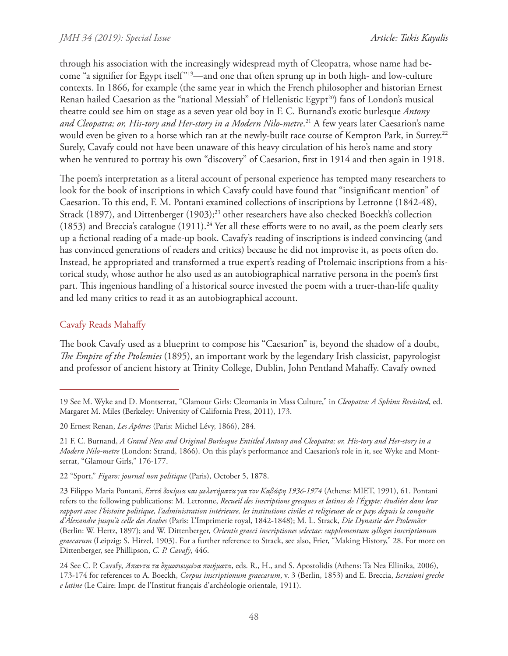through his association with the increasingly widespread myth of Cleopatra, whose name had become "a signifier for Egypt itself"19—and one that often sprung up in both high- and low-culture contexts. In 1866, for example (the same year in which the French philosopher and historian Ernest Renan hailed Caesarion as the "national Messiah" of Hellenistic Egypt<sup>20</sup>) fans of London's musical theatre could see him on stage as a seven year old boy in F. C. Burnand's exotic burlesque *Antony and Cleopatra; or, His-tory and Her-story in a Modern Nilo-metre*. 21 A few years later Caesarion's name would even be given to a horse which ran at the newly-built race course of Kempton Park, in Surrey.22 Surely, Cavafy could not have been unaware of this heavy circulation of his hero's name and story when he ventured to portray his own "discovery" of Caesarion, first in 1914 and then again in 1918.

The poem's interpretation as a literal account of personal experience has tempted many researchers to look for the book of inscriptions in which Cavafy could have found that "insignificant mention" of Caesarion. To this end, F. M. Pontani examined collections of inscriptions by Letronne (1842-48), Strack (1897), and Dittenberger (1903);<sup>23</sup> other researchers have also checked Boeckh's collection (1853) and Breccia's catalogue (1911).<sup>24</sup> Yet all these efforts were to no avail, as the poem clearly sets up a fictional reading of a made-up book. Cavafy's reading of inscriptions is indeed convincing (and has convinced generations of readers and critics) because he did not improvise it, as poets often do. Instead, he appropriated and transformed a true expert's reading of Ptolemaic inscriptions from a historical study, whose author he also used as an autobiographical narrative persona in the poem's first part. This ingenious handling of a historical source invested the poem with a truer-than-life quality and led many critics to read it as an autobiographical account.

# Cavafy Reads Mahaffy

The book Cavafy used as a blueprint to compose his "Caesarion" is, beyond the shadow of a doubt, *The Empire of the Ptolemies* (1895), an important work by the legendary Irish classicist, papyrologist and professor of ancient history at Trinity College, Dublin, John Pentland Mahaffy. Cavafy owned

<sup>19</sup> See M. Wyke and D. Montserrat, "Glamour Girls: Cleomania in Mass Culture," in *Cleopatra: A Sphinx Revisited*, ed. Margaret M. Miles (Berkeley: University of California Press, 2011), 173.

<sup>20</sup> Ernest Renan, *Les Apôtres* (Paris: Michel Lévy, 1866), 284.

<sup>21</sup> F. C. Burnand, *A Grand New and Original Burlesque Entitled Antony and Cleopatra; or, His-tory and Her-story in a Modern Nilo-metre* (London: Strand, 1866). On this play's performance and Caesarion's role in it, see Wyke and Montserrat, "Glamour Girls," 176-177.

<sup>22 &</sup>quot;Sport," *Figaro: journal non politique* (Paris), October 5, 1878.

<sup>23</sup> Filippo Maria Pontani, *Επτά δοκίμια και μελετήματα για τον Καβάφη 1936-1974* (Athens: MIET, 1991), 61. Pontani refers to the following publications: M. Letronne, *Recueil des inscriptions grecques et latines de l'Égypte: étudiées dans leur rapport avec l'histoire politique, l'administration intérieure, les institutions civiles et religieuses de ce pays depuis la conquête d'Alexandre jusqu'à celle des Arabes* (Paris: L'Imprimerie royal, 1842-1848); M. L. Strack, *Die Dynastie der Ptolemäer* (Berlin: W. Hertz, 1897); and W. Dittenberger, *Orientis graeci inscriptiones selectae: supplementum sylloges inscriptionum graecarum* (Leipzig: S. Hirzel, 1903). For a further reference to Strack, see also, Frier, "Making History," 28. For more on Dittenberger, see Phillipson, *C. P. Cavafy*, 446.

<sup>24</sup> See C. P. Cavafy, *Άπαντα τα δημοσιευμένα ποιήματα*, eds. R., H., and S. Apostolidis (Athens: Ta Nea Ellinika, 2006), 173-174 for references to A. Boeckh, *Corpus inscriptionum graecarum*, v. 3 (Berlin, 1853) and E. Breccia, *Iscrizioni greche e latine* (Le Caire: Impr. de l'Institut français d'archéologie orientale, 1911).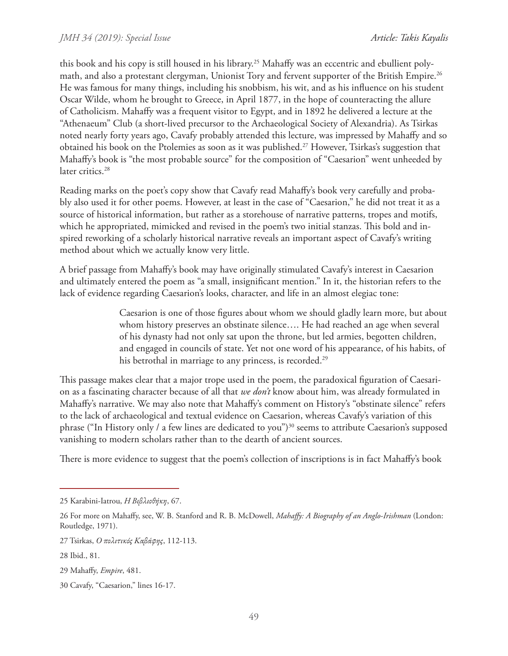this book and his copy is still housed in his library.<sup>25</sup> Mahaffy was an eccentric and ebullient polymath, and also a protestant clergyman, Unionist Tory and fervent supporter of the British Empire.<sup>26</sup> He was famous for many things, including his snobbism, his wit, and as his influence on his student Oscar Wilde, whom he brought to Greece, in April 1877, in the hope of counteracting the allure of Catholicism. Mahaffy was a frequent visitor to Egypt, and in 1892 he delivered a lecture at the "Athenaeum" Club (a short-lived precursor to the Archaeological Society of Alexandria). As Tsirkas noted nearly forty years ago, Cavafy probably attended this lecture, was impressed by Mahaffy and so obtained his book on the Ptolemies as soon as it was published.27 However, Tsirkas's suggestion that Mahaffy's book is "the most probable source" for the composition of "Caesarion" went unheeded by later critics.<sup>28</sup>

Reading marks on the poet's copy show that Cavafy read Mahaffy's book very carefully and probably also used it for other poems. However, at least in the case of "Caesarion," he did not treat it as a source of historical information, but rather as a storehouse of narrative patterns, tropes and motifs, which he appropriated, mimicked and revised in the poem's two initial stanzas. This bold and inspired reworking of a scholarly historical narrative reveals an important aspect of Cavafy's writing method about which we actually know very little.

A brief passage from Mahaffy's book may have originally stimulated Cavafy's interest in Caesarion and ultimately entered the poem as "a small, insignificant mention." In it, the historian refers to the lack of evidence regarding Caesarion's looks, character, and life in an almost elegiac tone:

> Caesarion is one of those figures about whom we should gladly learn more, but about whom history preserves an obstinate silence…. He had reached an age when several of his dynasty had not only sat upon the throne, but led armies, begotten children, and engaged in councils of state. Yet not one word of his appearance, of his habits, of his betrothal in marriage to any princess, is recorded.<sup>29</sup>

This passage makes clear that a major trope used in the poem, the paradoxical figuration of Caesarion as a fascinating character because of all that *we don't* know about him, was already formulated in Mahaffy's narrative. We may also note that Mahaffy's comment on History's "obstinate silence" refers to the lack of archaeological and textual evidence on Caesarion, whereas Cavafy's variation of this phrase ("In History only / a few lines are dedicated to you")<sup>30</sup> seems to attribute Caesarion's supposed vanishing to modern scholars rather than to the dearth of ancient sources.

There is more evidence to suggest that the poem's collection of inscriptions is in fact Mahaffy's book

<sup>25</sup> Karabini-Iatrou, *H Bιβλιοθήκη*, 67.

<sup>26</sup> For more on Mahaffy, see, W. B. Stanford and R. B. McDowell, *Mahaffy: A Biography of an Anglo-Irishman* (London: Routledge, 1971).

<sup>27</sup> Tsirkas, *Ο πολιτικός Καβάφης*, 112-113.

<sup>28</sup> Ibid., 81.

<sup>29</sup> Mahaffy, *Empire*, 481.

<sup>30</sup> Cavafy, "Caesarion," lines 16-17.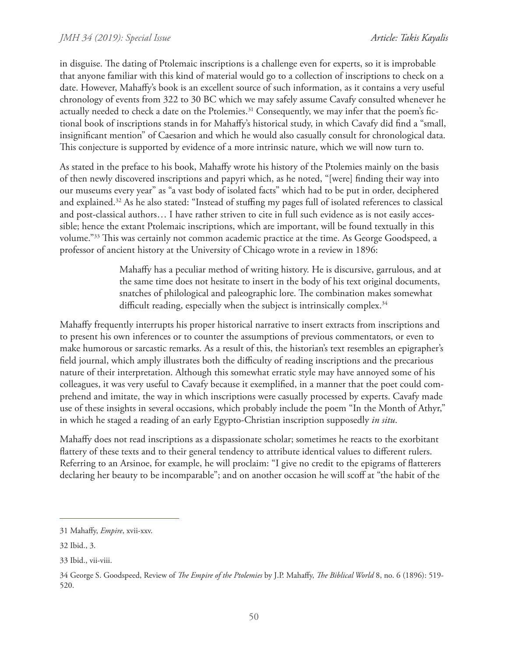in disguise. The dating of Ptolemaic inscriptions is a challenge even for experts, so it is improbable that anyone familiar with this kind of material would go to a collection of inscriptions to check on a date. However, Mahaffy's book is an excellent source of such information, as it contains a very useful chronology of events from 322 to 30 BC which we may safely assume Cavafy consulted whenever he actually needed to check a date on the Ptolemies.<sup>31</sup> Consequently, we may infer that the poem's fictional book of inscriptions stands in for Mahaffy's historical study, in which Cavafy did find a "small, insignificant mention" of Caesarion and which he would also casually consult for chronological data. This conjecture is supported by evidence of a more intrinsic nature, which we will now turn to.

As stated in the preface to his book, Mahaffy wrote his history of the Ptolemies mainly on the basis of then newly discovered inscriptions and papyri which, as he noted, "[were] finding their way into our museums every year" as "a vast body of isolated facts" which had to be put in order, deciphered and explained.32 As he also stated: "Instead of stuffing my pages full of isolated references to classical and post-classical authors… I have rather striven to cite in full such evidence as is not easily accessible; hence the extant Ptolemaic inscriptions, which are important, will be found textually in this volume."33 This was certainly not common academic practice at the time. As George Goodspeed, a professor of ancient history at the University of Chicago wrote in a review in 1896:

> Mahaffy has a peculiar method of writing history. He is discursive, garrulous, and at the same time does not hesitate to insert in the body of his text original documents, snatches of philological and paleographic lore. The combination makes somewhat difficult reading, especially when the subject is intrinsically complex.<sup>34</sup>

Mahaffy frequently interrupts his proper historical narrative to insert extracts from inscriptions and to present his own inferences or to counter the assumptions of previous commentators, or even to make humorous or sarcastic remarks. As a result of this, the historian's text resembles an epigrapher's field journal, which amply illustrates both the difficulty of reading inscriptions and the precarious nature of their interpretation. Although this somewhat erratic style may have annoyed some of his colleagues, it was very useful to Cavafy because it exemplified, in a manner that the poet could comprehend and imitate, the way in which inscriptions were casually processed by experts. Cavafy made use of these insights in several occasions, which probably include the poem "In the Month of Athyr," in which he staged a reading of an early Egypto-Christian inscription supposedly *in situ*.

Mahaffy does not read inscriptions as a dispassionate scholar; sometimes he reacts to the exorbitant flattery of these texts and to their general tendency to attribute identical values to different rulers. Referring to an Arsinoe, for example, he will proclaim: "I give no credit to the epigrams of flatterers declaring her beauty to be incomparable"; and on another occasion he will scoff at "the habit of the

<sup>31</sup> Mahaffy, *Empire*, xvii-xxv.

<sup>32</sup> Ibid., 3.

<sup>33</sup> Ibid., vii-viii.

<sup>34</sup> George S. Goodspeed, Review of *The Empire of the Ptolemies* by J.P. Mahaffy, *The Biblical World* 8, no. 6 (1896): 519- 520.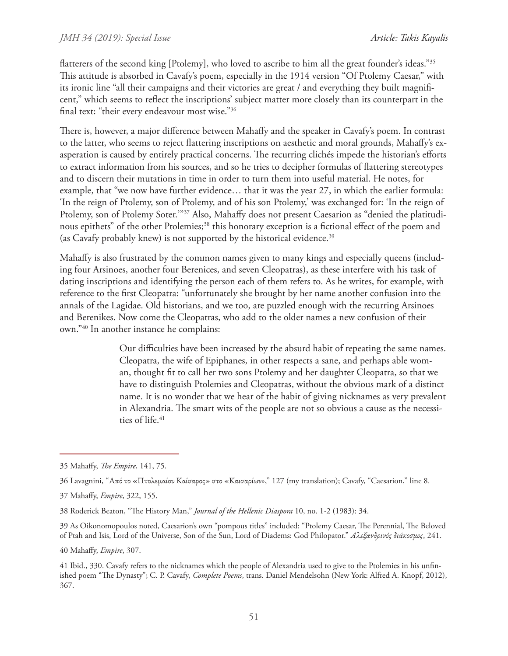#### *JMH 34 (2019): Special Issue*

flatterers of the second king [Ptolemy], who loved to ascribe to him all the great founder's ideas."35 This attitude is absorbed in Cavafy's poem, especially in the 1914 version "Of Ptolemy Caesar," with its ironic line "all their campaigns and their victories are great / and everything they built magnificent," which seems to reflect the inscriptions' subject matter more closely than its counterpart in the final text: "their every endeavour most wise."36

There is, however, a major difference between Mahaffy and the speaker in Cavafy's poem. In contrast to the latter, who seems to reject flattering inscriptions on aesthetic and moral grounds, Mahaffy's exasperation is caused by entirely practical concerns. The recurring clichés impede the historian's efforts to extract information from his sources, and so he tries to decipher formulas of flattering stereotypes and to discern their mutations in time in order to turn them into useful material. He notes, for example, that "we now have further evidence… that it was the year 27, in which the earlier formula: 'In the reign of Ptolemy, son of Ptolemy, and of his son Ptolemy,' was exchanged for: 'In the reign of Ptolemy, son of Ptolemy Soter.'"37 Also, Mahaffy does not present Caesarion as "denied the platitudinous epithets" of the other Ptolemies;<sup>38</sup> this honorary exception is a fictional effect of the poem and (as Cavafy probably knew) is not supported by the historical evidence.<sup>39</sup>

Mahaffy is also frustrated by the common names given to many kings and especially queens (including four Arsinoes, another four Berenices, and seven Cleopatras), as these interfere with his task of dating inscriptions and identifying the person each of them refers to. As he writes, for example, with reference to the first Cleopatra: "unfortunately she brought by her name another confusion into the annals of the Lagidae. Old historians, and we too, are puzzled enough with the recurring Arsinoes and Berenikes. Now come the Cleopatras, who add to the older names a new confusion of their own."40 In another instance he complains:

> Our difficulties have been increased by the absurd habit of repeating the same names. Cleopatra, the wife of Epiphanes, in other respects a sane, and perhaps able woman, thought fit to call her two sons Ptolemy and her daughter Cleopatra, so that we have to distinguish Ptolemies and Cleopatras, without the obvious mark of a distinct name. It is no wonder that we hear of the habit of giving nicknames as very prevalent in Alexandria. The smart wits of the people are not so obvious a cause as the necessities of life.<sup>41</sup>

39 As Oikonomopoulos noted, Caesarion's own "pompous titles" included: "Ptolemy Caesar, The Perennial, The Beloved of Ptah and Isis, Lord of the Universe, Son of the Sun, Lord of Diadems: God Philopator." *Αλεξανδρινός διάκοσμος*, 241.

40 Mahaffy, *Empire*, 307.

<sup>35</sup> Mahaffy, *The Empire*, 141, 75.

<sup>36</sup> Lavagnini, "Από το «Πτολεμαίου Καίσαρος» στο «Καισαρίων»," 127 (my translation); Cavafy, "Caesarion," line 8.

<sup>37</sup> Mahaffy, *Empire*, 322, 155.

<sup>38</sup> Roderick Beaton, "The History Man," *Journal of the Hellenic Diaspora* 10, no. 1-2 (1983): 34.

<sup>41</sup> Ibid., 330. Cavafy refers to the nicknames which the people of Alexandria used to give to the Ptolemies in his unfinished poem "The Dynasty"; C. P. Cavafy, *Complete Poems*, trans. Daniel Mendelsohn (New York: Alfred A. Knopf, 2012), 367.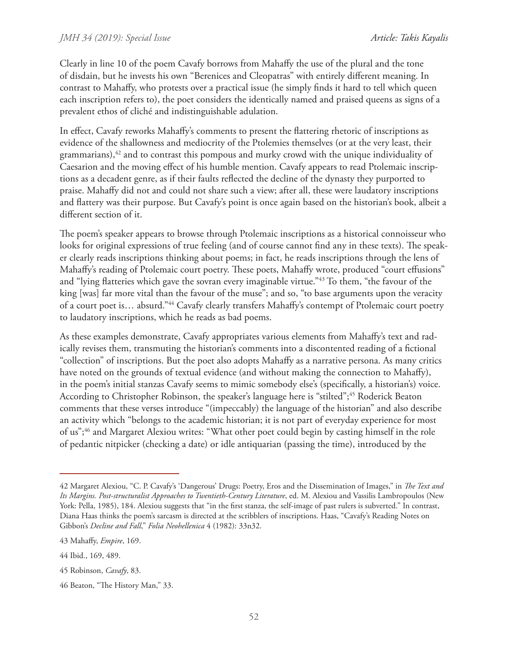Clearly in line 10 of the poem Cavafy borrows from Mahaffy the use of the plural and the tone of disdain, but he invests his own "Berenices and Cleopatras" with entirely different meaning. In contrast to Mahaffy, who protests over a practical issue (he simply finds it hard to tell which queen each inscription refers to), the poet considers the identically named and praised queens as signs of a prevalent ethos of cliché and indistinguishable adulation.

In effect, Cavafy reworks Mahaffy's comments to present the flattering rhetoric of inscriptions as evidence of the shallowness and mediocrity of the Ptolemies themselves (or at the very least, their grammarians), $42$  and to contrast this pompous and murky crowd with the unique individuality of Caesarion and the moving effect of his humble mention. Cavafy appears to read Ptolemaic inscriptions as a decadent genre, as if their faults reflected the decline of the dynasty they purported to praise. Mahaffy did not and could not share such a view; after all, these were laudatory inscriptions and flattery was their purpose. But Cavafy's point is once again based on the historian's book, albeit a different section of it.

The poem's speaker appears to browse through Ptolemaic inscriptions as a historical connoisseur who looks for original expressions of true feeling (and of course cannot find any in these texts). The speaker clearly reads inscriptions thinking about poems; in fact, he reads inscriptions through the lens of Mahaffy's reading of Ptolemaic court poetry. These poets, Mahaffy wrote, produced "court effusions" and "lying flatteries which gave the sovran every imaginable virtue."43 To them, "the favour of the king [was] far more vital than the favour of the muse"; and so, "to base arguments upon the veracity of a court poet is… absurd."44 Cavafy clearly transfers Mahaffy's contempt of Ptolemaic court poetry to laudatory inscriptions, which he reads as bad poems.

As these examples demonstrate, Cavafy appropriates various elements from Mahaffy's text and radically revises them, transmuting the historian's comments into a discontented reading of a fictional "collection" of inscriptions. But the poet also adopts Mahaffy as a narrative persona. As many critics have noted on the grounds of textual evidence (and without making the connection to Mahaffy), in the poem's initial stanzas Cavafy seems to mimic somebody else's (specifically, a historian's) voice. According to Christopher Robinson, the speaker's language here is "stilted";<sup>45</sup> Roderick Beaton comments that these verses introduce "(impeccably) the language of the historian" and also describe an activity which "belongs to the academic historian; it is not part of everyday experience for most of us";46 and Margaret Alexiou writes: "What other poet could begin by casting himself in the role of pedantic nitpicker (checking a date) or idle antiquarian (passing the time), introduced by the

<sup>42</sup> Margaret Alexiou, "C. P. Cavafy's 'Dangerous' Drugs: Poetry, Eros and the Dissemination of Images," in *The Text and Its Margins. Post-structuralist Approaches to Twentieth-Century Literature*, ed. M. Alexiou and Vassilis Lambropoulos (New York: Pella, 1985), 184. Alexiou suggests that "in the first stanza, the self-image of past rulers is subverted." In contrast, Diana Haas thinks the poem's sarcasm is directed at the scribblers of inscriptions. Haas, "Cavafy's Reading Notes on Gibbon's *Decline and Fall*," *Folia Neohellenica* 4 (1982): 33n32.

<sup>43</sup> Mahaffy, *Empire*, 169.

<sup>44</sup> Ibid., 169, 489.

<sup>45</sup> Robinson, *Cavafy*, 83.

<sup>46</sup> Beaton, "The History Man," 33.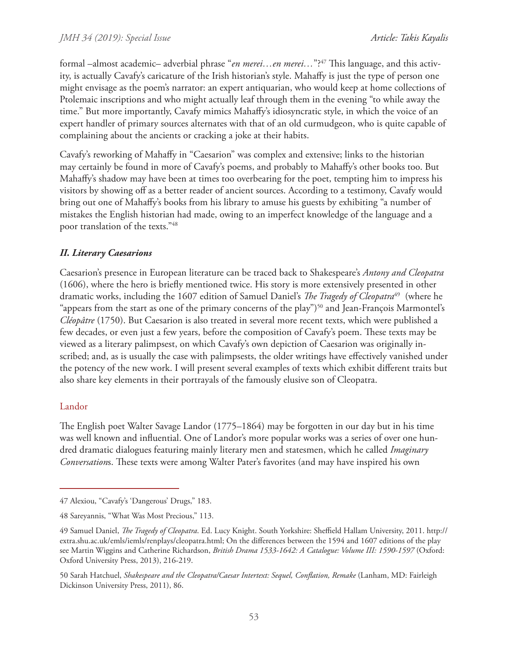formal –almost academic– adverbial phrase "*en merei...en merei...*"?<sup>47</sup> This language, and this activity, is actually Cavafy's caricature of the Irish historian's style. Mahaffy is just the type of person one might envisage as the poem's narrator: an expert antiquarian, who would keep at home collections of Ptolemaic inscriptions and who might actually leaf through them in the evening "to while away the time." But more importantly, Cavafy mimics Mahaffy's idiosyncratic style, in which the voice of an expert handler of primary sources alternates with that of an old curmudgeon, who is quite capable of complaining about the ancients or cracking a joke at their habits.

Cavafy's reworking of Mahaffy in "Caesarion" was complex and extensive; links to the historian may certainly be found in more of Cavafy's poems, and probably to Mahaffy's other books too. But Mahaffy's shadow may have been at times too overbearing for the poet, tempting him to impress his visitors by showing off as a better reader of ancient sources. According to a testimony, Cavafy would bring out one of Mahaffy's books from his library to amuse his guests by exhibiting "a number of mistakes the English historian had made, owing to an imperfect knowledge of the language and a poor translation of the texts."48

# *II. Literary Caesarions*

Caesarion's presence in European literature can be traced back to Shakespeare's *Antony and Cleopatra* (1606), where the hero is briefly mentioned twice. His story is more extensively presented in other dramatic works, including the 1607 edition of Samuel Daniel's *The Tragedy of Cleopatra*49 (where he "appears from the start as one of the primary concerns of the play")<sup>50</sup> and Jean-François Marmontel's *Cléopâtre* (1750). But Caesarion is also treated in several more recent texts, which were published a few decades, or even just a few years, before the composition of Cavafy's poem. These texts may be viewed as a literary palimpsest, on which Cavafy's own depiction of Caesarion was originally inscribed; and, as is usually the case with palimpsests, the older writings have effectively vanished under the potency of the new work. I will present several examples of texts which exhibit different traits but also share key elements in their portrayals of the famously elusive son of Cleopatra.

### Landor

The English poet Walter Savage Landor (1775–1864) may be forgotten in our day but in his time was well known and influential. One of Landor's more popular works was a series of over one hundred dramatic dialogues featuring mainly literary men and statesmen, which he called *Imaginary Conversation*s. These texts were among Walter Pater's favorites (and may have inspired his own

<sup>47</sup> Alexiou, "Cavafy's 'Dangerous' Drugs," 183.

<sup>48</sup> Sareyannis, "What Was Most Precious," 113.

<sup>49</sup> Samuel Daniel, *The Tragedy of Cleopatra*. Ed. Lucy Knight. South Yorkshire: Sheffield Hallam University, 2011. http:// extra.shu.ac.uk/emls/iemls/renplays/cleopatra.html; On the differences between the 1594 and 1607 editions of the play see Martin Wiggins and Catherine Richardson, *British Drama 1533-1642: A Catalogue: Volume III: 1590-1597* (Oxford: Oxford University Press, 2013), 216-219.

<sup>50</sup> Sarah Hatchuel, *Shakespeare and the Cleopatra/Caesar Intertext: Sequel, Conflation, Remake* (Lanham, MD: Fairleigh Dickinson University Press, 2011), 86.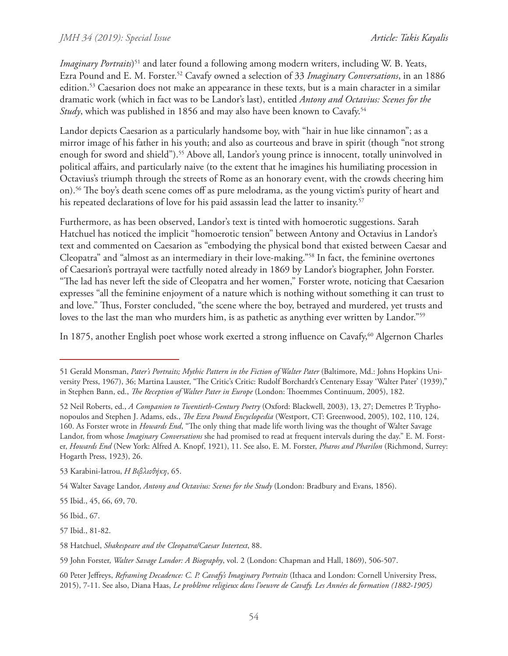#### *JMH 34 (2019): Special Issue*

*Imaginary Portraits*) 51 and later found a following among modern writers, including W. B. Yeats, Ezra Pound and E. M. Forster.52 Cavafy owned a selection of 33 *Imaginary Conversations*, in an 1886 edition.53 Caesarion does not make an appearance in these texts, but is a main character in a similar dramatic work (which in fact was to be Landor's last), entitled *Antony and Octavius: Scenes for the Study*, which was published in 1856 and may also have been known to Cavafy.<sup>54</sup>

Landor depicts Caesarion as a particularly handsome boy, with "hair in hue like cinnamon"; as a mirror image of his father in his youth; and also as courteous and brave in spirit (though "not strong enough for sword and shield").<sup>55</sup> Above all, Landor's young prince is innocent, totally uninvolved in political affairs, and particularly naive (to the extent that he imagines his humiliating procession in Octavius's triumph through the streets of Rome as an honorary event, with the crowds cheering him on).56 The boy's death scene comes off as pure melodrama, as the young victim's purity of heart and his repeated declarations of love for his paid assassin lead the latter to insanity.<sup>57</sup>

Furthermore, as has been observed, Landor's text is tinted with homoerotic suggestions. Sarah Hatchuel has noticed the implicit "homoerotic tension" between Antony and Octavius in Landor's text and commented on Caesarion as "embodying the physical bond that existed between Caesar and Cleopatra" and "almost as an intermediary in their love-making."58 In fact, the feminine overtones of Caesarion's portrayal were tactfully noted already in 1869 by Landor's biographer, John Forster. "The lad has never left the side of Cleopatra and her women," Forster wrote, noticing that Caesarion expresses "all the feminine enjoyment of a nature which is nothing without something it can trust to and love." Thus, Forster concluded, "the scene where the boy, betrayed and murdered, yet trusts and loves to the last the man who murders him, is as pathetic as anything ever written by Landor."<sup>59</sup>

In 1875, another English poet whose work exerted a strong influence on Cavafy,<sup>60</sup> Algernon Charles

55 Ibid., 45, 66, 69, 70.

56 Ibid., 67.

57 Ibid., 81-82.

<sup>51</sup> Gerald Monsman, *Pater's Portraits; Mythic Pattern in the Fiction of Walter Pater* (Baltimore, Md.: Johns Hopkins University Press, 1967), 36; Martina Lauster, "The Critic's Critic: Rudolf Borchardt's Centenary Essay 'Walter Pater' (1939)," in Stephen Bann, ed., *The Reception of Walter Pater in Europe* (London: Thoemmes Continuum, 2005), 182.

<sup>52</sup> Neil Roberts, ed., *A Companion to Twentieth-Century Poetry* (Oxford: Blackwell, 2003), 13, 27; Demetres P. Tryphonopoulos and Stephen J. Adams, eds., *The Ezra Pound Encyclopedia* (Westport, CT: Greenwood, 2005), 102, 110, 124, 160. As Forster wrote in *Howards End*, "The only thing that made life worth living was the thought of Walter Savage Landor, from whose *Imaginary Conversations* she had promised to read at frequent intervals during the day." E. M. Forster, *Howards End* (New York: Alfred A. Knopf, 1921), 11. See also, E. M. Forster, *Pharos and Pharilon* (Richmond, Surrey: Hogarth Press, 1923), 26.

<sup>53</sup> Karabini-Iatrou, *H Bιβλιοθήκη*, 65.

<sup>54</sup> Walter Savage Landor, *Antony and Octavius: Scenes for the Study* (London: Bradbury and Evans, 1856).

<sup>58</sup> Hatchuel, *Shakespeare and the Cleopatra/Caesar Intertext*, 88.

<sup>59</sup> John Forster, *Walter Savage Landor: A Biography*, vol. 2 (London: Chapman and Hall, 1869), 506-507.

<sup>60</sup> Peter Jeffreys, *Reframing Decadence: C. P. Cavafy's Imaginary Portraits* (Ithaca and London: Cornell University Press, 2015), 7-11. See also, Diana Haas, *Le problème religieux dans l'oeuvre de Cavafy. Les Années de formation (1882-1905)*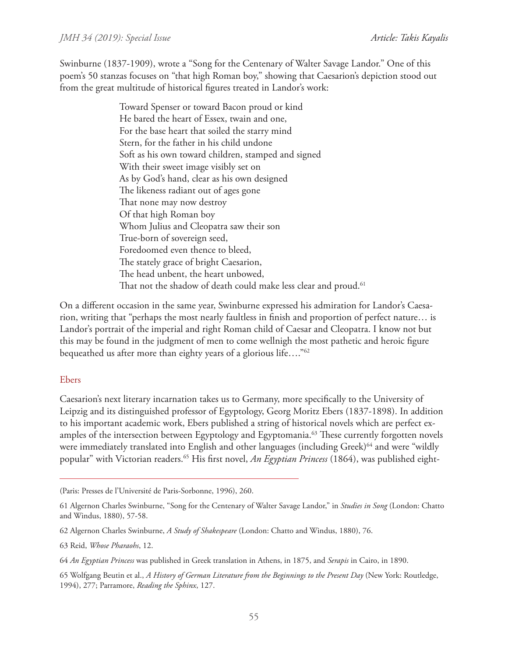Swinburne (1837-1909), wrote a "Song for the Centenary of Walter Savage Landor." One of this poem's 50 stanzas focuses on "that high Roman boy," showing that Caesarion's depiction stood out from the great multitude of historical figures treated in Landor's work:

> Toward Spenser or toward Bacon proud or kind He bared the heart of Essex, twain and one, For the base heart that soiled the starry mind Stern, for the father in his child undone Soft as his own toward children, stamped and signed With their sweet image visibly set on As by God's hand, clear as his own designed The likeness radiant out of ages gone That none may now destroy Of that high Roman boy Whom Julius and Cleopatra saw their son True-born of sovereign seed, Foredoomed even thence to bleed, The stately grace of bright Caesarion, The head unbent, the heart unbowed, That not the shadow of death could make less clear and proud.<sup>61</sup>

On a different occasion in the same year, Swinburne expressed his admiration for Landor's Caesarion, writing that "perhaps the most nearly faultless in finish and proportion of perfect nature… is Landor's portrait of the imperial and right Roman child of Caesar and Cleopatra. I know not but this may be found in the judgment of men to come wellnigh the most pathetic and heroic figure bequeathed us after more than eighty years of a glorious life…."62

#### Ebers

Caesarion's next literary incarnation takes us to Germany, more specifically to the University of Leipzig and its distinguished professor of Egyptology, Georg Moritz Ebers (1837-1898). In addition to his important academic work, Ebers published a string of historical novels which are perfect examples of the intersection between Egyptology and Egyptomania.<sup>63</sup> These currently forgotten novels were immediately translated into English and other languages (including Greek)<sup>64</sup> and were "wildly popular" with Victorian readers.65 His first novel, *An Egyptian Princess* (1864), was published eight-

63 Reid, *Whose Pharaohs*, 12.

<sup>(</sup>Paris: Presses de l'Université de Paris-Sorbonne, 1996), 260.

<sup>61</sup> Algernon Charles Swinburne, "Song for the Centenary of Walter Savage Landor," in *Studies in Song* (London: Chatto and Windus, 1880), 57-58.

<sup>62</sup> Algernon Charles Swinburne, *A Study of Shakespeare* (London: Chatto and Windus, 1880), 76.

<sup>64</sup> *An Egyptian Princess* was published in Greek translation in Athens, in 1875, and *Serapis* in Cairo, in 1890.

<sup>65</sup> Wolfgang Beutin et al., *A History of German Literature from the Beginnings to the Present Day* (New York: Routledge, 1994), 277; Parramore, *Reading the Sphinx*, 127.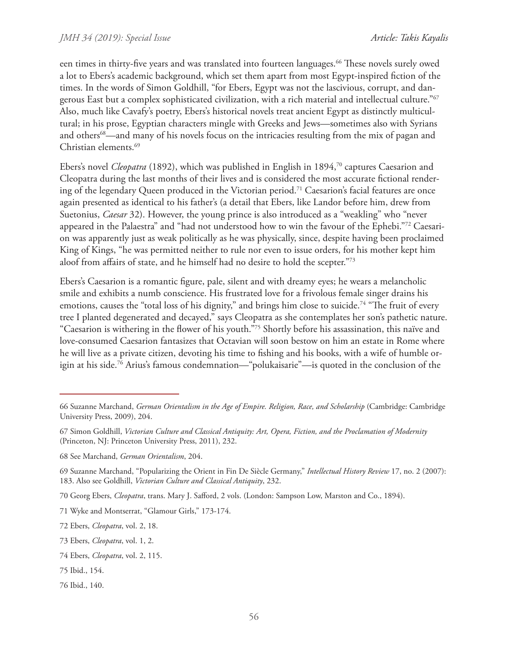een times in thirty-five years and was translated into fourteen languages.<sup>66</sup> These novels surely owed a lot to Ebers's academic background, which set them apart from most Egypt-inspired fiction of the times. In the words of Simon Goldhill, "for Ebers, Egypt was not the lascivious, corrupt, and dangerous East but a complex sophisticated civilization, with a rich material and intellectual culture."67 Also, much like Cavafy's poetry, Ebers's historical novels treat ancient Egypt as distinctly multicultural; in his prose, Egyptian characters mingle with Greeks and Jews—sometimes also with Syrians and others<sup>68</sup>—and many of his novels focus on the intricacies resulting from the mix of pagan and Christian elements.69

Ebers's novel *Cleopatra* (1892), which was published in English in 1894,70 captures Caesarion and Cleopatra during the last months of their lives and is considered the most accurate fictional rendering of the legendary Queen produced in the Victorian period.<sup>71</sup> Caesarion's facial features are once again presented as identical to his father's (a detail that Ebers, like Landor before him, drew from Suetonius, *Caesar* 32). However, the young prince is also introduced as a "weakling" who "never appeared in the Palaestra" and "had not understood how to win the favour of the Ephebi."72 Caesarion was apparently just as weak politically as he was physically, since, despite having been proclaimed King of Kings, "he was permitted neither to rule nor even to issue orders, for his mother kept him aloof from affairs of state, and he himself had no desire to hold the scepter."73

Ebers's Caesarion is a romantic figure, pale, silent and with dreamy eyes; he wears a melancholic smile and exhibits a numb conscience. His frustrated love for a frivolous female singer drains his emotions, causes the "total loss of his dignity," and brings him close to suicide.<sup>74</sup> "The fruit of every tree I planted degenerated and decayed," says Cleopatra as she contemplates her son's pathetic nature. "Caesarion is withering in the flower of his youth."75 Shortly before his assassination, this naïve and love-consumed Caesarion fantasizes that Octavian will soon bestow on him an estate in Rome where he will live as a private citizen, devoting his time to fishing and his books, with a wife of humble origin at his side.76 Arius's famous condemnation—"polukaisarie"—is quoted in the conclusion of the

<sup>66</sup> Suzanne Marchand, *German Orientalism in the Age of Empire. Religion, Race, and Scholarship* (Cambridge: Cambridge University Press, 2009), 204.

<sup>67</sup> Simon Goldhill, *Victorian Culture and Classical Antiquity: Art, Opera, Fiction, and the Proclamation of Modernity* (Princeton, NJ: Princeton University Press, 2011), 232.

<sup>68</sup> See Marchand, *German Orientalism*, 204.

<sup>69</sup> Suzanne Marchand, "Popularizing the Orient in Fin De Siècle Germany," *Intellectual History Review* 17, no. 2 (2007): 183. Also see Goldhill, *Victorian Culture and Classical Antiquity*, 232.

<sup>70</sup> Georg Ebers, *Cleopatra*, trans. Mary J. Safford, 2 vols. (London: Sampson Low, Marston and Co., 1894).

<sup>71</sup> Wyke and Montserrat, "Glamour Girls," 173-174.

<sup>72</sup> Ebers, *Cleopatra*, vol. 2, 18.

<sup>73</sup> Ebers, *Cleopatra*, vol. 1, 2.

<sup>74</sup> Ebers, *Cleopatra*, vol. 2, 115.

<sup>75</sup> Ibid., 154.

<sup>76</sup> Ibid., 140.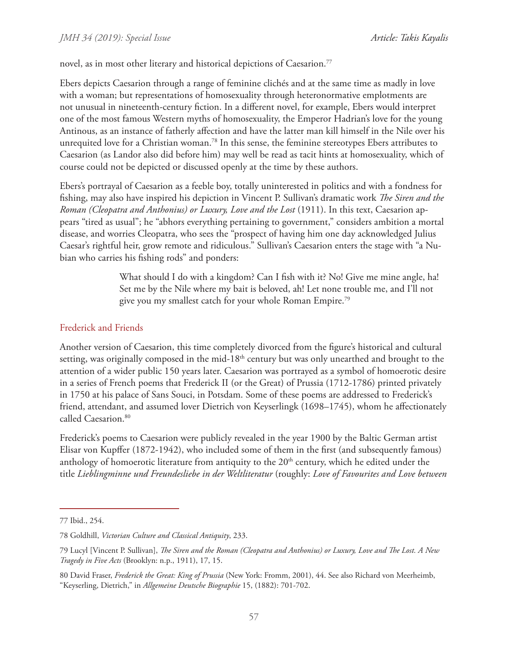novel, as in most other literary and historical depictions of Caesarion.<sup>77</sup>

Ebers depicts Caesarion through a range of feminine clichés and at the same time as madly in love with a woman; but representations of homosexuality through heteronormative emplotments are not unusual in nineteenth-century fiction. In a different novel, for example, Ebers would interpret one of the most famous Western myths of homosexuality, the Emperor Hadrian's love for the young Antinous, as an instance of fatherly affection and have the latter man kill himself in the Nile over his unrequited love for a Christian woman.<sup>78</sup> In this sense, the feminine stereotypes Ebers attributes to Caesarion (as Landor also did before him) may well be read as tacit hints at homosexuality, which of course could not be depicted or discussed openly at the time by these authors.

Ebers's portrayal of Caesarion as a feeble boy, totally uninterested in politics and with a fondness for fishing, may also have inspired his depiction in Vincent P. Sullivan's dramatic work *The Siren and the Roman (Cleopatra and Anthonius) or Luxury, Love and the Lost* (1911). In this text, Caesarion appears "tired as usual"; he "abhors everything pertaining to government," considers ambition a mortal disease, and worries Cleopatra, who sees the "prospect of having him one day acknowledged Julius Caesar's rightful heir, grow remote and ridiculous." Sullivan's Caesarion enters the stage with "a Nubian who carries his fishing rods" and ponders:

> What should I do with a kingdom? Can I fish with it? No! Give me mine angle, ha! Set me by the Nile where my bait is beloved, ah! Let none trouble me, and I'll not give you my smallest catch for your whole Roman Empire.79

## Frederick and Friends

Another version of Caesarion, this time completely divorced from the figure's historical and cultural setting, was originally composed in the mid-18<sup>th</sup> century but was only unearthed and brought to the attention of a wider public 150 years later. Caesarion was portrayed as a symbol of homoerotic desire in a series of French poems that Frederick II (or the Great) of Prussia (1712-1786) printed privately in 1750 at his palace of Sans Souci, in Potsdam. Some of these poems are addressed to Frederick's friend, attendant, and assumed lover Dietrich von Keyserlingk (1698–1745), whom he affectionately called Caesarion.<sup>80</sup>

Frederick's poems to Caesarion were publicly revealed in the year 1900 by the Baltic German artist Elisar von Kupffer (1872-1942), who included some of them in the first (and subsequently famous) anthology of homoerotic literature from antiquity to the  $20<sup>th</sup>$  century, which he edited under the title *Lieblingminne und Freundesliebe in der Weltliteratur* (roughly: *Love of Favourites and Love between* 

<sup>77</sup> Ibid., 254.

<sup>78</sup> Goldhill, *Victorian Culture and Classical Antiquity*, 233.

<sup>79</sup> Lucyl [Vincent P. Sullivan], *The Siren and the Roman (Cleopatra and Anthonius) or Luxury, Love and The Lost. A New Tragedy in Five Acts* (Brooklyn: n.p., 1911), 17, 15.

<sup>80</sup> David Fraser, *Frederick the Great: King of Prussia* (New York: Fromm, 2001), 44. See also Richard von Meerheimb, "Keyserling, Dietrich," in *Allgemeine Deutsche Biographie* 15, (1882): 701-702.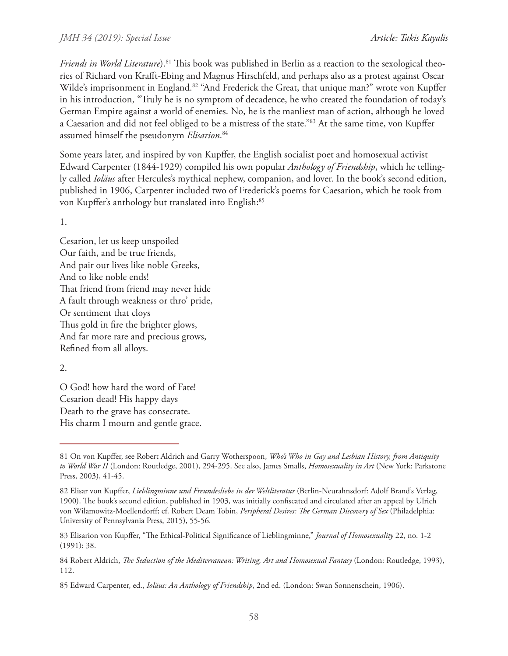#### *JMH 34 (2019): Special Issue*

*Friends in World Literature*).<sup>81</sup> This book was published in Berlin as a reaction to the sexological theories of Richard von Krafft-Ebing and Magnus Hirschfeld, and perhaps also as a protest against Oscar Wilde's imprisonment in England.<sup>82</sup> "And Frederick the Great, that unique man?" wrote von Kupffer in his introduction, "Truly he is no symptom of decadence, he who created the foundation of today's German Empire against a world of enemies. No, he is the manliest man of action, although he loved a Caesarion and did not feel obliged to be a mistress of the state."83 At the same time, von Kupffer assumed himself the pseudonym *Elisarion*. 84

Some years later, and inspired by von Kupffer, the English socialist poet and homosexual activist Edward Carpenter (1844-1929) compiled his own popular *Anthology of Friendship*, which he tellingly called *Ioläus* after Hercules's mythical nephew, companion, and lover. In the book's second edition, published in 1906, Carpenter included two of Frederick's poems for Caesarion, which he took from von Kupffer's anthology but translated into English:<sup>85</sup>

1.

Cesarion, let us keep unspoiled Our faith, and be true friends, And pair our lives like noble Greeks, And to like noble ends! That friend from friend may never hide A fault through weakness or thro' pride, Or sentiment that cloys Thus gold in fire the brighter glows, And far more rare and precious grows, Refined from all alloys.

2.

O God! how hard the word of Fate! Cesarion dead! His happy days Death to the grave has consecrate. His charm I mourn and gentle grace.

<sup>81</sup> On von Kupffer, see Robert Aldrich and Garry Wotherspoon, *Who's Who in Gay and Lesbian History, from Antiquity to World War II* (London: Routledge, 2001), 294-295. See also, James Smalls, *Homosexuality in Art* (New York: Parkstone Press, 2003), 41-45.

<sup>82</sup> Elisar von Kupffer, *Lieblingminne und Freundesliebe in der Weltliteratur* (Berlin-Neurahnsdorf: Adolf Brand's Verlag, 1900). The book's second edition, published in 1903, was initially confiscated and circulated after an appeal by Ulrich von Wilamowitz-Moellendorff; cf. Robert Deam Tobin, *Peripheral Desires: The German Discovery of Sex* (Philadelphia: University of Pennsylvania Press, 2015), 55-56.

<sup>83</sup> Elisarion von Kupffer, "The Ethical-Political Significance of Lieblingminne," *Journal of Homosexuality* 22, no. 1-2 (1991): 38.

<sup>84</sup> Robert Aldrich, *The Seduction of the Mediterranean: Writing, Art and Homosexual Fantasy* (London: Routledge, 1993), 112.

<sup>85</sup> Edward Carpenter, ed., *Ioläus: An Anthology of Friendship*, 2nd ed. (London: Swan Sonnenschein, 1906).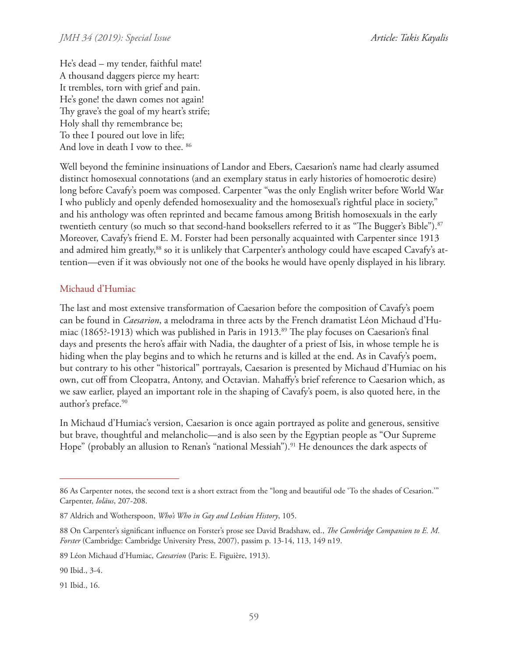*Article: Takis Kayalis*

He's dead – my tender, faithful mate! A thousand daggers pierce my heart: It trembles, torn with grief and pain. He's gone! the dawn comes not again! Thy grave's the goal of my heart's strife; Holy shall thy remembrance be; To thee I poured out love in life; And love in death I vow to thee. 86

Well beyond the feminine insinuations of Landor and Ebers, Caesarion's name had clearly assumed distinct homosexual connotations (and an exemplary status in early histories of homoerotic desire) long before Cavafy's poem was composed. Carpenter "was the only English writer before World War I who publicly and openly defended homosexuality and the homosexual's rightful place in society," and his anthology was often reprinted and became famous among British homosexuals in the early twentieth century (so much so that second-hand booksellers referred to it as "The Bugger's Bible").<sup>87</sup> Moreover, Cavafy's friend E. M. Forster had been personally acquainted with Carpenter since 1913 and admired him greatly,<sup>88</sup> so it is unlikely that Carpenter's anthology could have escaped Cavafy's attention—even if it was obviously not one of the books he would have openly displayed in his library.

# Michaud d'Humiac

The last and most extensive transformation of Caesarion before the composition of Cavafy's poem can be found in *Caesarion*, a melodrama in three acts by the French dramatist Léon Michaud d'Humiac (1865?-1913) which was published in Paris in 1913.<sup>89</sup> The play focuses on Caesarion's final days and presents the hero's affair with Nadia, the daughter of a priest of Isis, in whose temple he is hiding when the play begins and to which he returns and is killed at the end. As in Cavafy's poem, but contrary to his other "historical" portrayals, Caesarion is presented by Michaud d'Humiac on his own, cut off from Cleopatra, Antony, and Octavian. Mahaffy's brief reference to Caesarion which, as we saw earlier, played an important role in the shaping of Cavafy's poem, is also quoted here, in the author's preface.<sup>90</sup>

In Michaud d'Humiac's version, Caesarion is once again portrayed as polite and generous, sensitive but brave, thoughtful and melancholic—and is also seen by the Egyptian people as "Our Supreme Hope" (probably an allusion to Renan's "national Messiah").<sup>91</sup> He denounces the dark aspects of

<sup>86</sup> As Carpenter notes, the second text is a short extract from the "long and beautiful ode 'To the shades of Cesarion.'" Carpenter, *Ioläus*, 207-208.

<sup>87</sup> Aldrich and Wotherspoon, *Who's Who in Gay and Lesbian History*, 105.

<sup>88</sup> On Carpenter's significant influence on Forster's prose see David Bradshaw, ed., *The Cambridge Companion to E. M. Forster* (Cambridge: Cambridge University Press, 2007), passim p. 13-14, 113, 149 n19.

<sup>89</sup> Léon Michaud d'Humiac, *Caesarion* (Paris: E. Figuière, 1913).

<sup>90</sup> Ibid., 3-4.

<sup>91</sup> Ibid., 16.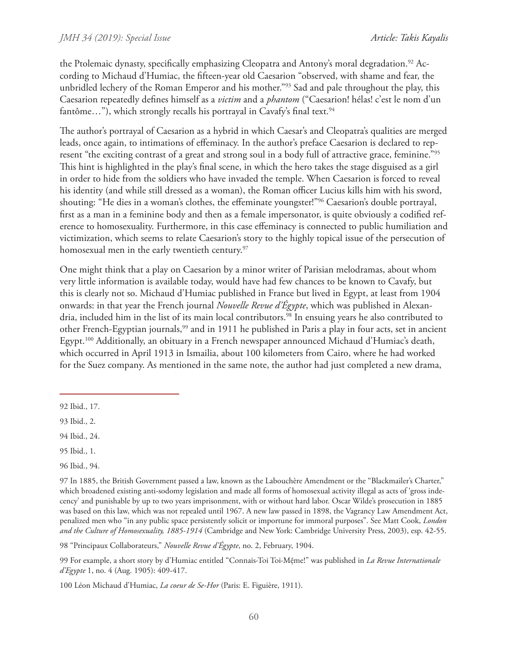the Ptolemaic dynasty, specifically emphasizing Cleopatra and Antony's moral degradation.<sup>92</sup> According to Michaud d'Humiac, the fifteen-year old Caesarion "observed, with shame and fear, the unbridled lechery of the Roman Emperor and his mother."<sup>93</sup> Sad and pale throughout the play, this Caesarion repeatedly defines himself as a *victim* and a *phantom* ("Caesarion! hélas! c'est le nom d'un fantôme..."), which strongly recalls his portrayal in Cavafy's final text.<sup>94</sup>

The author's portrayal of Caesarion as a hybrid in which Caesar's and Cleopatra's qualities are merged leads, once again, to intimations of effeminacy. In the author's preface Caesarion is declared to represent "the exciting contrast of a great and strong soul in a body full of attractive grace, feminine."95 This hint is highlighted in the play's final scene, in which the hero takes the stage disguised as a girl in order to hide from the soldiers who have invaded the temple. When Caesarion is forced to reveal his identity (and while still dressed as a woman), the Roman officer Lucius kills him with his sword, shouting: "He dies in a woman's clothes, the effeminate youngster!"96 Caesarion's double portrayal, first as a man in a feminine body and then as a female impersonator, is quite obviously a codified reference to homosexuality. Furthermore, in this case effeminacy is connected to public humiliation and victimization, which seems to relate Caesarion's story to the highly topical issue of the persecution of homosexual men in the early twentieth century.<sup>97</sup>

One might think that a play on Caesarion by a minor writer of Parisian melodramas, about whom very little information is available today, would have had few chances to be known to Cavafy, but this is clearly not so. Michaud d'Humiac published in France but lived in Egypt, at least from 1904 onwards: in that year the French journal *Nouvelle Revue d'Égypte*, which was published in Alexandria, included him in the list of its main local contributors.<sup>98</sup> In ensuing years he also contributed to other French-Egyptian journals,<sup>99</sup> and in 1911 he published in Paris a play in four acts, set in ancient Egypt.<sup>100</sup> Additionally, an obituary in a French newspaper announced Michaud d'Humiac's death, which occurred in April 1913 in Ismailia, about 100 kilometers from Cairo, where he had worked for the Suez company. As mentioned in the same note, the author had just completed a new drama,

94 Ibid., 24.

98 "Principaux Collaborateurs," *Nouvelle Revue d'Égypte*, no. 2, February, 1904.

99 For example, a short story by d'Humiac entitled "Connais-Toi Toi-Mệme!" was published in *La Revue Internationale d'Egypte* 1, no. 4 (Aug. 1905): 409-417.

100 Léon Michaud d'Humiac, *La coeur de Se-Hor* (Paris: E. Figuière, 1911).

<sup>92</sup> Ibid., 17.

<sup>93</sup> Ibid., 2.

<sup>95</sup> Ibid., 1.

<sup>96</sup> Ibid., 94.

<sup>97</sup> In 1885, the British Government passed a law, known as the Labouchère Amendment or the "Blackmailer's Charter," which broadened existing anti-sodomy legislation and made all forms of homosexual activity illegal as acts of 'gross indecency' and punishable by up to two years imprisonment, with or without hard labor. Oscar Wilde's prosecution in 1885 was based on this law, which was not repealed until 1967. A new law passed in 1898, the Vagrancy Law Amendment Act, penalized men who "in any public space persistently solicit or importune for immoral purposes". See Matt Cook, *London and the Culture of Homosexuality, 1885-1914* (Cambridge and New York: Cambridge University Press, 2003), esp. 42-55.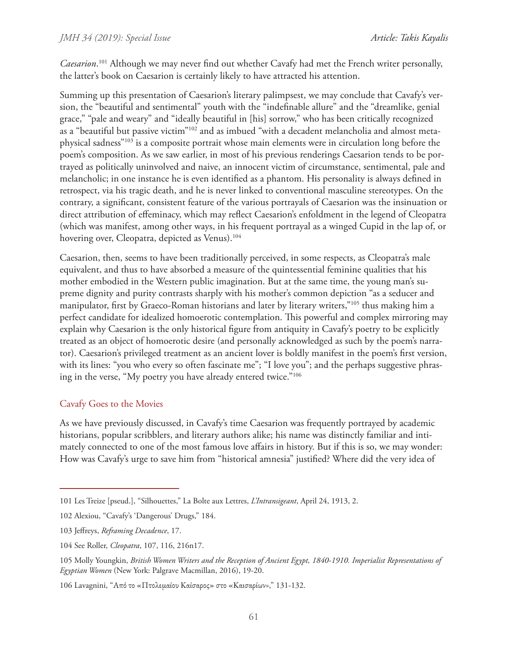*Caesarion*. 101 Although we may never find out whether Cavafy had met the French writer personally, the latter's book on Caesarion is certainly likely to have attracted his attention.

Summing up this presentation of Caesarion's literary palimpsest, we may conclude that Cavafy's version, the "beautiful and sentimental" youth with the "indefinable allure" and the "dreamlike, genial grace," "pale and weary" and "ideally beautiful in [his] sorrow," who has been critically recognized as a "beautiful but passive victim"102 and as imbued "with a decadent melancholia and almost metaphysical sadness"103 is a composite portrait whose main elements were in circulation long before the poem's composition. As we saw earlier, in most of his previous renderings Caesarion tends to be portrayed as politically uninvolved and naive, an innocent victim of circumstance, sentimental, pale and melancholic; in one instance he is even identified as a phantom. His personality is always defined in retrospect, via his tragic death, and he is never linked to conventional masculine stereotypes. On the contrary, a significant, consistent feature of the various portrayals of Caesarion was the insinuation or direct attribution of effeminacy, which may reflect Caesarion's enfoldment in the legend of Cleopatra (which was manifest, among other ways, in his frequent portrayal as a winged Cupid in the lap of, or hovering over, Cleopatra, depicted as Venus).<sup>104</sup>

Caesarion, then, seems to have been traditionally perceived, in some respects, as Cleopatra's male equivalent, and thus to have absorbed a measure of the quintessential feminine qualities that his mother embodied in the Western public imagination. But at the same time, the young man's supreme dignity and purity contrasts sharply with his mother's common depiction "as a seducer and manipulator, first by Graeco-Roman historians and later by literary writers,"105 thus making him a perfect candidate for idealized homoerotic contemplation. This powerful and complex mirroring may explain why Caesarion is the only historical figure from antiquity in Cavafy's poetry to be explicitly treated as an object of homoerotic desire (and personally acknowledged as such by the poem's narrator). Caesarion's privileged treatment as an ancient lover is boldly manifest in the poem's first version, with its lines: "you who every so often fascinate me"; "I love you"; and the perhaps suggestive phrasing in the verse, "My poetry you have already entered twice."106

### Cavafy Goes to the Movies

As we have previously discussed, in Cavafy's time Caesarion was frequently portrayed by academic historians, popular scribblers, and literary authors alike; his name was distinctly familiar and intimately connected to one of the most famous love affairs in history. But if this is so, we may wonder: How was Cavafy's urge to save him from "historical amnesia" justified? Where did the very idea of

<sup>101</sup> Les Treize [pseud.], "Silhouettes," La Bolte aux Lettres, *L'Intransigeant*, April 24, 1913, 2.

<sup>102</sup> Alexiou, "Cavafy's 'Dangerous' Drugs," 184.

<sup>103</sup> Jeffreys, *Reframing Decadence*, 17.

<sup>104</sup> See Roller, *Cleopatra*, 107, 116, 216n17.

<sup>105</sup> Molly Youngkin, *British Women Writers and the Reception of Ancient Egypt, 1840-1910. Imperialist Representations of Egyptian Women* (New York: Palgrave Macmillan, 2016), 19-20.

<sup>106</sup> Lavagnini, "Από το «Πτολεμαίου Καίσαρος» στο «Καισαρίων»," 131-132.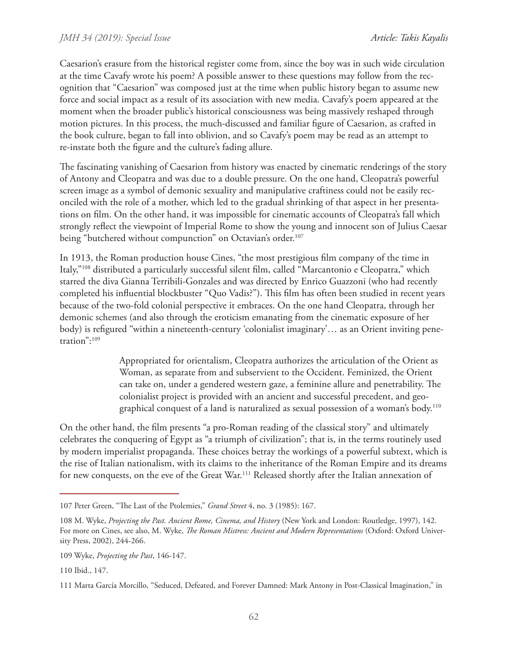Caesarion's erasure from the historical register come from, since the boy was in such wide circulation at the time Cavafy wrote his poem? A possible answer to these questions may follow from the recognition that "Caesarion" was composed just at the time when public history began to assume new force and social impact as a result of its association with new media. Cavafy's poem appeared at the moment when the broader public's historical consciousness was being massively reshaped through motion pictures. In this process, the much-discussed and familiar figure of Caesarion, as crafted in the book culture, began to fall into oblivion, and so Cavafy's poem may be read as an attempt to re-instate both the figure and the culture's fading allure.

The fascinating vanishing of Caesarion from history was enacted by cinematic renderings of the story of Antony and Cleopatra and was due to a double pressure. On the one hand, Cleopatra's powerful screen image as a symbol of demonic sexuality and manipulative craftiness could not be easily reconciled with the role of a mother, which led to the gradual shrinking of that aspect in her presentations on film. On the other hand, it was impossible for cinematic accounts of Cleopatra's fall which strongly reflect the viewpoint of Imperial Rome to show the young and innocent son of Julius Caesar being "butchered without compunction" on Octavian's order.<sup>107</sup>

In 1913, the Roman production house Cines, "the most prestigious film company of the time in Italy,"108 distributed a particularly successful silent film, called "Marcantonio e Cleopatra," which starred the diva Gianna Terribili-Gonzales and was directed by Enrico Guazzoni (who had recently completed his influential blockbuster "Quo Vadis?"). This film has often been studied in recent years because of the two-fold colonial perspective it embraces. On the one hand Cleopatra, through her demonic schemes (and also through the eroticism emanating from the cinematic exposure of her body) is refigured "within a nineteenth-century 'colonialist imaginary'… as an Orient inviting penetration":109

> Appropriated for orientalism, Cleopatra authorizes the articulation of the Orient as Woman, as separate from and subservient to the Occident. Feminized, the Orient can take on, under a gendered western gaze, a feminine allure and penetrability. The colonialist project is provided with an ancient and successful precedent, and geographical conquest of a land is naturalized as sexual possession of a woman's body.110

On the other hand, the film presents "a pro-Roman reading of the classical story" and ultimately celebrates the conquering of Egypt as "a triumph of civilization"; that is, in the terms routinely used by modern imperialist propaganda. These choices betray the workings of a powerful subtext, which is the rise of Italian nationalism, with its claims to the inheritance of the Roman Empire and its dreams for new conquests, on the eve of the Great War.<sup>111</sup> Released shortly after the Italian annexation of

<sup>107</sup> Peter Green, "The Last of the Ptolemies," *Grand Street* 4, no. 3 (1985): 167.

<sup>108</sup> M. Wyke, *Projecting the Past. Ancient Rome, Cinema, and History* (New York and London: Routledge, 1997), 142. For more on Cines, see also, M. Wyke, *The Roman Mistress: Ancient and Modern Representations* (Oxford: Oxford University Press, 2002), 244-266.

<sup>109</sup> Wyke, *Projecting the Past*, 146-147.

<sup>110</sup> Ibid., 147.

<sup>111</sup> Marta García Morcillo, "Seduced, Defeated, and Forever Damned: Mark Antony in Post-Classical Imagination," in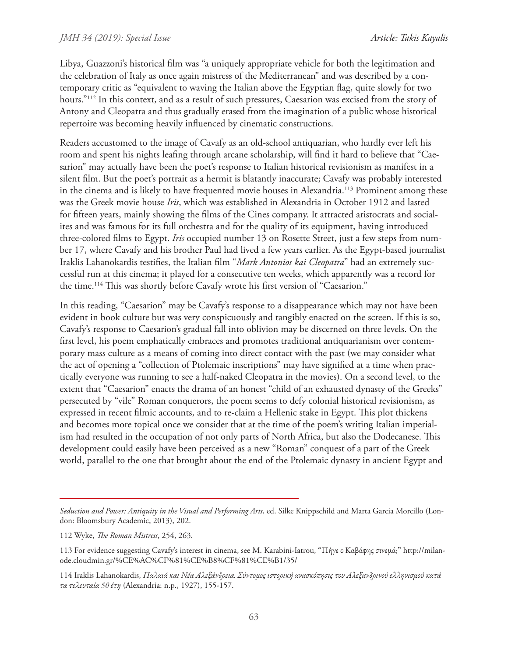Libya, Guazzoni's historical film was "a uniquely appropriate vehicle for both the legitimation and the celebration of Italy as once again mistress of the Mediterranean" and was described by a contemporary critic as "equivalent to waving the Italian above the Egyptian flag, quite slowly for two hours."112 In this context, and as a result of such pressures, Caesarion was excised from the story of Antony and Cleopatra and thus gradually erased from the imagination of a public whose historical repertoire was becoming heavily influenced by cinematic constructions.

Readers accustomed to the image of Cavafy as an old-school antiquarian, who hardly ever left his room and spent his nights leafing through arcane scholarship, will find it hard to believe that "Caesarion" may actually have been the poet's response to Italian historical revisionism as manifest in a silent film. But the poet's portrait as a hermit is blatantly inaccurate; Cavafy was probably interested in the cinema and is likely to have frequented movie houses in Alexandria.<sup>113</sup> Prominent among these was the Greek movie house *Iris*, which was established in Alexandria in October 1912 and lasted for fifteen years, mainly showing the films of the Cines company. It attracted aristocrats and socialites and was famous for its full orchestra and for the quality of its equipment, having introduced three-colored films to Egypt. *Iris* occupied number 13 on Rosette Street, just a few steps from number 17, where Cavafy and his brother Paul had lived a few years earlier. As the Egypt-based journalist Iraklis Lahanokardis testifies, the Italian film "*Mark Antonios kai Cleopatra*" had an extremely successful run at this cinema; it played for a consecutive ten weeks, which apparently was a record for the time.114 This was shortly before Cavafy wrote his first version of "Caesarion."

In this reading, "Caesarion" may be Cavafy's response to a disappearance which may not have been evident in book culture but was very conspicuously and tangibly enacted on the screen. If this is so, Cavafy's response to Caesarion's gradual fall into oblivion may be discerned on three levels. On the first level, his poem emphatically embraces and promotes traditional antiquarianism over contemporary mass culture as a means of coming into direct contact with the past (we may consider what the act of opening a "collection of Ptolemaic inscriptions" may have signified at a time when practically everyone was running to see a half-naked Cleopatra in the movies). On a second level, to the extent that "Caesarion" enacts the drama of an honest "child of an exhausted dynasty of the Greeks" persecuted by "vile" Roman conquerors, the poem seems to defy colonial historical revisionism, as expressed in recent filmic accounts, and to re-claim a Hellenic stake in Egypt. This plot thickens and becomes more topical once we consider that at the time of the poem's writing Italian imperialism had resulted in the occupation of not only parts of North Africa, but also the Dodecanese. This development could easily have been perceived as a new "Roman" conquest of a part of the Greek world, parallel to the one that brought about the end of the Ptolemaic dynasty in ancient Egypt and

*Seduction and Power: Antiquity in the Visual and Performing Arts*, ed. Silke Knippschild and Marta Garcia Morcillo (London: Bloomsbury Academic, 2013), 202.

<sup>112</sup> Wyke, *The Roman Mistress*, 254, 263.

<sup>113</sup> For evidence suggesting Cavafy's interest in cinema, see M. Karabini-Iatrou, "Πήγε ο Καβάφης σινεμά;" http://milanode.cloudmin.gr/%CE%AC%CF%81%CE%B8%CF%81%CE%B1/35/

<sup>114</sup> Iraklis Lahanokardis, *Παλαιά και Νέα Αλεξάνδρεια. Σύντομος ιστορική ανασκόπησις του Αλεξανδρινού ελληνισμού κατά τα τελευταία 50 έτη* (Alexandria: n.p., 1927), 155-157.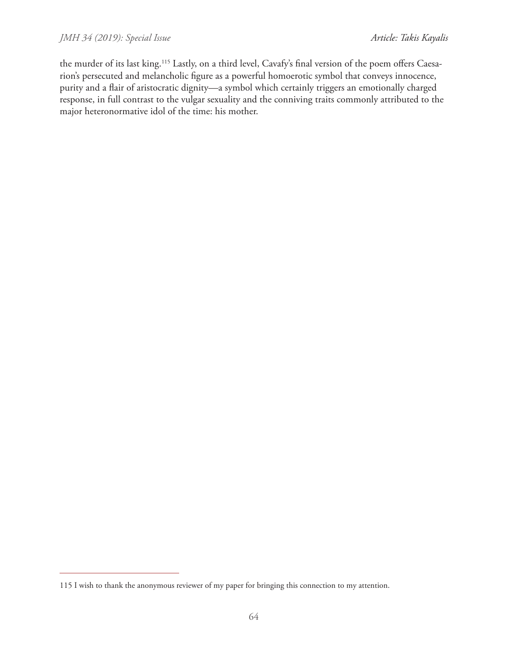the murder of its last king.<sup>115</sup> Lastly, on a third level, Cavafy's final version of the poem offers Caesarion's persecuted and melancholic figure as a powerful homoerotic symbol that conveys innocence, purity and a flair of aristocratic dignity—a symbol which certainly triggers an emotionally charged response, in full contrast to the vulgar sexuality and the conniving traits commonly attributed to the major heteronormative idol of the time: his mother.

<sup>115</sup> I wish to thank the anonymous reviewer of my paper for bringing this connection to my attention.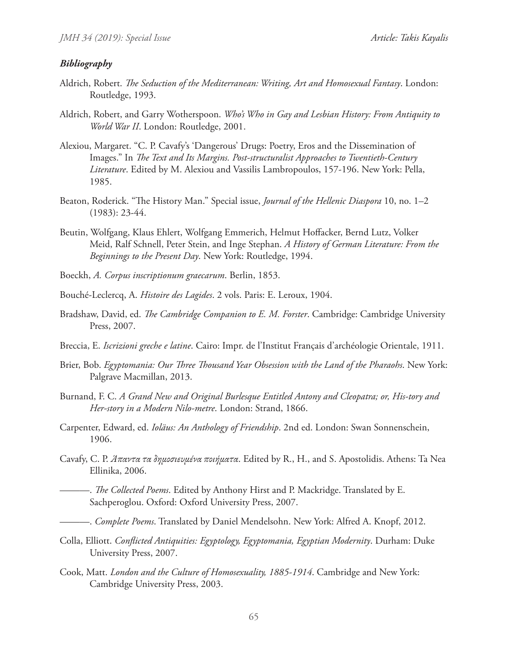#### *Bibliography*

- Aldrich, Robert. *The Seduction of the Mediterranean: Writing, Art and Homosexual Fantasy*. London: Routledge, 1993.
- Aldrich, Robert, and Garry Wotherspoon. *Who's Who in Gay and Lesbian History: From Antiquity to World War II*. London: Routledge, 2001.
- Alexiou, Margaret. "C. P. Cavafy's 'Dangerous' Drugs: Poetry, Eros and the Dissemination of Images." In *The Text and Its Margins. Post-structuralist Approaches to Twentieth-Century Literature*. Edited by M. Alexiou and Vassilis Lambropoulos, 157-196. New York: Pella, 1985.
- Beaton, Roderick. "The History Man." Special issue, *Journal of the Hellenic Diaspora* 10, no. 1–2 (1983): 23-44.
- Beutin, Wolfgang, Klaus Ehlert, Wolfgang Emmerich, Helmut Hoffacker, Bernd Lutz, Volker Meid, Ralf Schnell, Peter Stein, and Inge Stephan. *A History of German Literature: From the Beginnings to the Present Day*. New York: Routledge, 1994.
- Boeckh, *A. Corpus inscriptionum graecarum*. Berlin, 1853.
- Bouché-Leclercq, A. *Histoire des Lagides*. 2 vols. Paris: E. Leroux, 1904.
- Bradshaw, David, ed. *The Cambridge Companion to E. M. Forster*. Cambridge: Cambridge University Press, 2007.
- Breccia, E. *Iscrizioni greche e latine*. Cairo: Impr. de l'Institut Français d'archéologie Orientale, 1911.
- Brier, Bob. *Egyptomania: Our Three Thousand Year Obsession with the Land of the Pharaohs*. New York: Palgrave Macmillan, 2013.
- Burnand, F. C. *A Grand New and Original Burlesque Entitled Antony and Cleopatra; or, His-tory and Her-story in a Modern Nilo-metre*. London: Strand, 1866.
- Carpenter, Edward, ed. *Ioläus: An Anthology of Friendship*. 2nd ed. London: Swan Sonnenschein, 1906.
- Cavafy, C. P. *Άπαντα τα δημοσιευμένα ποιήματα*. Edited by R., H., and S. Apostolidis. Athens: Ta Nea Ellinika, 2006.
	- -. *The Collected Poems*. Edited by Anthony Hirst and P. Mackridge. Translated by E. Sachperoglou. Oxford: Oxford University Press, 2007.
- ———. *Complete Poems*. Translated by Daniel Mendelsohn. New York: Alfred A. Knopf, 2012.
- Colla, Elliott. *Conflicted Antiquities: Egyptology, Egyptomania, Egyptian Modernity*. Durham: Duke University Press, 2007.
- Cook, Matt. *London and the Culture of Homosexuality, 1885-1914*. Cambridge and New York: Cambridge University Press, 2003.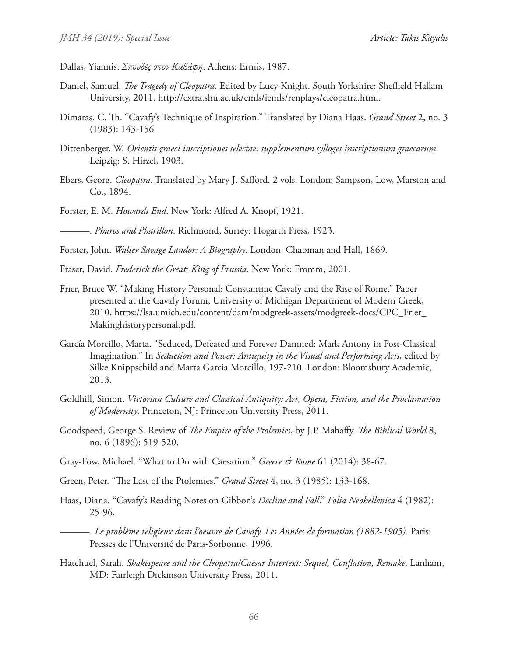- Dallas, Yiannis. *Σπουδές στον Καβάφη*. Athens: Ermis, 1987.
- Daniel, Samuel. *The Tragedy of Cleopatra*. Edited by Lucy Knight. South Yorkshire: Sheffield Hallam University, 2011. http://extra.shu.ac.uk/emls/iemls/renplays/cleopatra.html.
- Dimaras, C. Th. "Cavafy's Technique of Inspiration." Translated by Diana Haas. *Grand Street* 2, no. 3 (1983): 143-156
- Dittenberger, W. *Orientis graeci inscriptiones selectae: supplementum sylloges inscriptionum graecarum*. Leipzig: S. Hirzel, 1903.
- Ebers, Georg. *Cleopatra*. Translated by Mary J. Safford. 2 vols. London: Sampson, Low, Marston and Co., 1894.
- Forster, E. M. *Howards End*. New York: Alfred A. Knopf, 1921.

———. *Pharos and Pharillon*. Richmond, Surrey: Hogarth Press, 1923.

Forster, John. *Walter Savage Landor: A Biography*. London: Chapman and Hall, 1869.

Fraser, David. *Frederick the Great: King of Prussia*. New York: Fromm, 2001.

- Frier, Bruce W. "Making History Personal: Constantine Cavafy and the Rise of Rome." Paper presented at the Cavafy Forum, University of Michigan Department of Modern Greek, 2010. https://lsa.umich.edu/content/dam/modgreek-assets/modgreek-docs/CPC\_Frier\_ Makinghistorypersonal.pdf.
- García Morcillo, Marta. "Seduced, Defeated and Forever Damned: Mark Antony in Post-Classical Imagination." In *Seduction and Power: Antiquity in the Visual and Performing Arts*, edited by Silke Knippschild and Marta Garcia Morcillo, 197-210. London: Bloomsbury Academic, 2013.
- Goldhill, Simon. *Victorian Culture and Classical Antiquity: Art, Opera, Fiction, and the Proclamation of Modernity*. Princeton, NJ: Princeton University Press, 2011.
- Goodspeed, George S. Review of *The Empire of the Ptolemies*, by J.P. Mahaffy. *The Biblical World* 8, no. 6 (1896): 519-520.
- Gray-Fow, Michael. "What to Do with Caesarion." *Greece & Rome* 61 (2014): 38-67.
- Green, Peter. "The Last of the Ptolemies." *Grand Street* 4, no. 3 (1985): 133-168.
- Haas, Diana. "Cavafy's Reading Notes on Gibbon's *Decline and Fall*." *Folia Neohellenica* 4 (1982): 25-96.
	- ———. *Le problème religieux dans l'oeuvre de Cavafy. Les Années de formation (1882-1905)*. Paris: Presses de l'Université de Paris-Sorbonne, 1996.
- Hatchuel, Sarah. *Shakespeare and the Cleopatra/Caesar Intertext: Sequel, Conflation, Remake*. Lanham, MD: Fairleigh Dickinson University Press, 2011.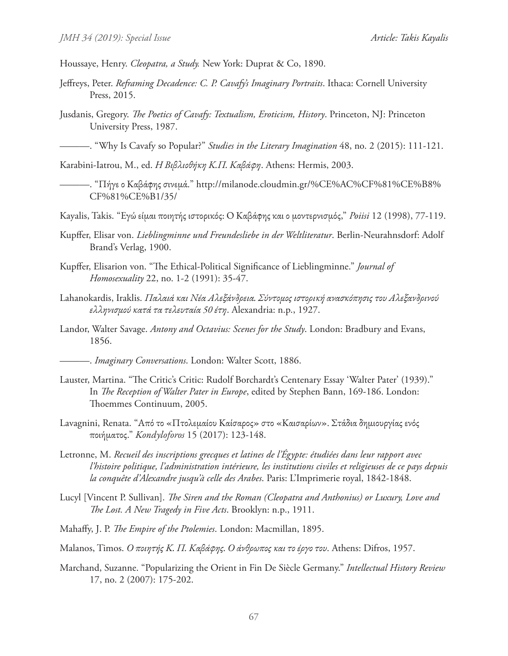Houssaye, Henry. *Cleopatra, a Study.* New York: Duprat & Co, 1890.

- Jeffreys, Peter. *Reframing Decadence: C. P. Cavafy's Imaginary Portraits*. Ithaca: Cornell University Press, 2015.
- Jusdanis, Gregory. *The Poetics of Cavafy: Textualism, Eroticism, History*. Princeton, NJ: Princeton University Press, 1987.

———. "Why Is Cavafy so Popular?" *Studies in the Literary Imagination* 48, no. 2 (2015): 111-121.

Karabini-Iatrou, M., ed. *H Bιβλιοθήκη Κ.Π. Καβάφη*. Athens: Hermis, 2003.

———. "Πήγε ο Καβάφης σινεμά." http://milanode.cloudmin.gr/%CE%AC%CF%81%CE%B8% CF%81%CE%B1/35/

Kayalis, Takis. "Εγώ είμαι ποιητής ιστορικός: Ο Καβάφης και ο μοντερνισμός," *Poiisi* 12 (1998), 77-119.

- Kupffer, Elisar von. *Lieblingminne und Freundesliebe in der Weltliteratur*. Berlin-Neurahnsdorf: Adolf Brand's Verlag, 1900.
- Kupffer, Elisarion von. "The Ethical-Political Significance of Lieblingminne." *Journal of Homosexuality* 22, no. 1-2 (1991): 35-47.
- Lahanokardis, Iraklis. *Παλαιά και Νέα Αλεξάνδρεια. Σύντομος ιστορική ανασκόπησις του Αλεξανδρινού ελληνισμού κατά τα τελευταία 50 έτη*. Alexandria: n.p., 1927.
- Landor, Walter Savage. *Antony and Octavius: Scenes for the Study*. London: Bradbury and Evans, 1856.
	- ———. *Imaginary Conversations*. London: Walter Scott, 1886.
- Lauster, Martina. "The Critic's Critic: Rudolf Borchardt's Centenary Essay 'Walter Pater' (1939)." In *The Reception of Walter Pater in Europe*, edited by Stephen Bann, 169-186. London: Thoemmes Continuum, 2005.
- Lavagnini, Renata. "Από το «Πτολεμαίου Καίσαρος» στο «Καισαρίων». Στάδια δημιουργίας ενός ποιήματος." *Kondyloforos* 15 (2017): 123-148.
- Letronne, M. *Recueil des inscriptions grecques et latines de l'Égypte: étudiées dans leur rapport avec l'histoire politique, l'administration intérieure, les institutions civiles et religieuses de ce pays depuis la conquête d'Alexandre jusqu'à celle des Arabes*. Paris: L'Imprimerie royal, 1842-1848.
- Lucyl [Vincent P. Sullivan]. *The Siren and the Roman (Cleopatra and Anthonius) or Luxury, Love and The Lost. A New Tragedy in Five Acts*. Brooklyn: n.p., 1911.
- Mahaffy, J. P. *The Empire of the Ptolemies*. London: Macmillan, 1895.
- Malanos, Timos. *Ο ποιητής Κ. Π. Καβάφης. Ο άνθρωπος και το έργο του*. Athens: Difros, 1957.
- Marchand, Suzanne. "Popularizing the Orient in Fin De Siècle Germany." *Intellectual History Review* 17, no. 2 (2007): 175-202.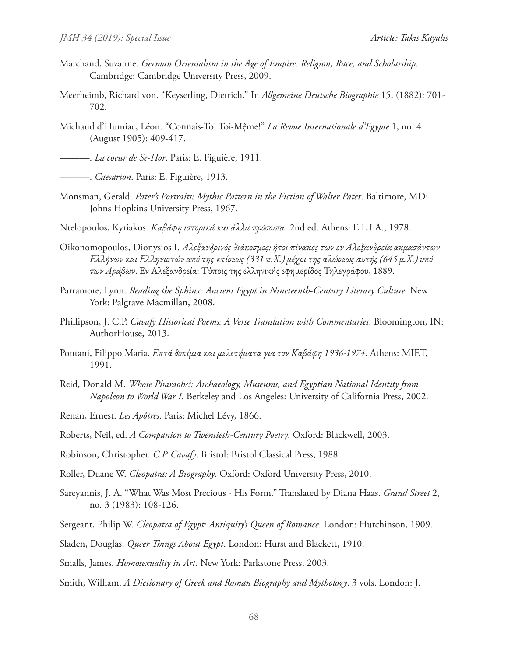- Marchand, Suzanne. *German Orientalism in the Age of Empire. Religion, Race, and Scholarship*. Cambridge: Cambridge University Press, 2009.
- Meerheimb, Richard von. "Keyserling, Dietrich." In *Allgemeine Deutsche Biographie* 15, (1882): 701- 702.
- Michaud d'Humiac, Léon. "Connais-Toi Toi-Mệme!" *La Revue Internationale d'Egypte* 1, no. 4 (August 1905): 409-417.

———. *La coeur de Se-Hor*. Paris: E. Figuière, 1911.

———. *Caesarion*. Paris: E. Figuière, 1913.

- Monsman, Gerald. *Pater's Portraits; Mythic Pattern in the Fiction of Walter Pater*. Baltimore, MD: Johns Hopkins University Press, 1967.
- Ntelopoulos, Kyriakos. *Καβάφη ιστορικά και άλλα πρόσωπα*. 2nd ed. Athens: E.L.I.A., 1978.
- Oikonomopoulos, Dionysios I. *Αλεξανδρινός διάκοσμος: ήτοι πίνακες των εν Αλεξανδρεία ακμασάντων Ελλήνων και Ελληνιστών από της κτίσεως (331 π.Χ.) μέχρι της αλώσεως αυτής (645 μ.Χ.) υπό των Αράβων*. Εν Αλεξανδρεία: Τύποις της ελληνικής εφημερίδος Τηλεγράφου, 1889.
- Parramore, Lynn. *Reading the Sphinx: Ancient Egypt in Nineteenth-Century Literary Culture*. New York: Palgrave Macmillan, 2008.
- Phillipson, J. C.P. *Cavafy Historical Poems: A Verse Translation with Commentaries*. Bloomington, IN: AuthorHouse, 2013.
- Pontani, Filippo Maria. *Επτά δοκίμια και μελετήματα για τον Καβάφη 1936-1974*. Athens: MIET, 1991.
- Reid, Donald M. *Whose Pharaohs?: Archaeology, Museums, and Egyptian National Identity from Napoleon to World War I*. Berkeley and Los Angeles: University of California Press, 2002.

Renan, Ernest. *Les Apôtres*. Paris: Michel Lévy, 1866.

- Roberts, Neil, ed. *A Companion to Twentieth-Century Poetry*. Oxford: Blackwell, 2003.
- Robinson, Christopher. *C.P. Cavafy*. Bristol: Bristol Classical Press, 1988.
- Roller, Duane W. *Cleopatra: A Biography*. Oxford: Oxford University Press, 2010.
- Sareyannis, J. A. "What Was Most Precious His Form." Translated by Diana Haas. *Grand Street* 2, no. 3 (1983): 108-126.
- Sergeant, Philip W. *Cleopatra of Egypt: Antiquity's Queen of Romance*. London: Hutchinson, 1909.
- Sladen, Douglas. *Queer Things About Egypt*. London: Hurst and Blackett, 1910.
- Smalls, James. *Homosexuality in Art*. New York: Parkstone Press, 2003.
- Smith, William. *A Dictionary of Greek and Roman Biography and Mythology*. 3 vols. London: J.